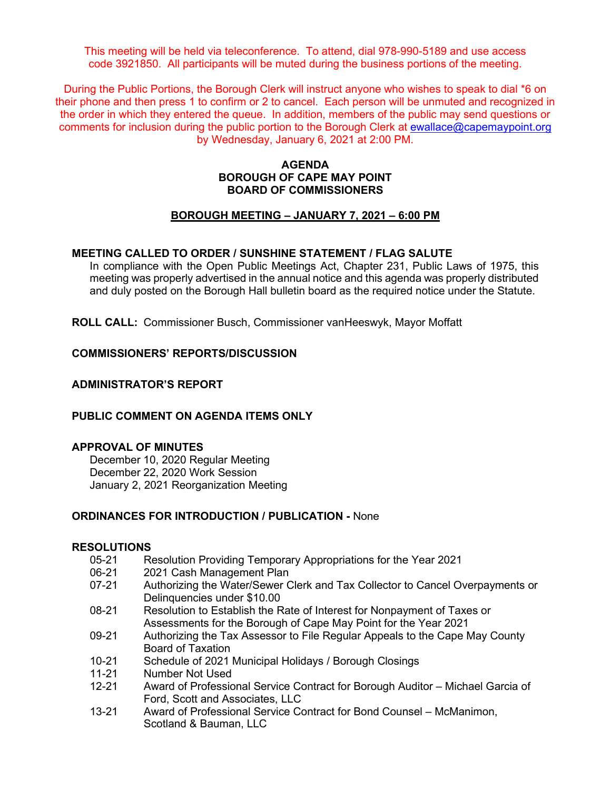This meeting will be held via teleconference. To attend, dial 978-990-5189 and use access code 3921850. All participants will be muted during the business portions of the meeting.

During the Public Portions, the Borough Clerk will instruct anyone who wishes to speak to dial \*6 on their phone and then press 1 to confirm or 2 to cancel. Each person will be unmuted and recognized in the order in which they entered the queue. In addition, members of the public may send questions or comments for inclusion during the public portion to the Borough Clerk at [ewallace@capemaypoint.org](mailto:ewallace@capemaypoint.org) by Wednesday, January 6, 2021 at 2:00 PM.

#### **AGENDA BOROUGH OF CAPE MAY POINT BOARD OF COMMISSIONERS**

#### **BOROUGH MEETING – JANUARY 7, 2021 – 6:00 PM**

#### **MEETING CALLED TO ORDER / SUNSHINE STATEMENT / FLAG SALUTE**

In compliance with the Open Public Meetings Act, Chapter 231, Public Laws of 1975, this meeting was properly advertised in the annual notice and this agenda was properly distributed and duly posted on the Borough Hall bulletin board as the required notice under the Statute.

**ROLL CALL:** Commissioner Busch, Commissioner vanHeeswyk, Mayor Moffatt

#### **COMMISSIONERS' REPORTS/DISCUSSION**

#### **ADMINISTRATOR'S REPORT**

#### **PUBLIC COMMENT ON AGENDA ITEMS ONLY**

#### **APPROVAL OF MINUTES**

December 10, 2020 Regular Meeting December 22, 2020 Work Session January 2, 2021 Reorganization Meeting

#### **ORDINANCES FOR INTRODUCTION / PUBLICATION -** None

#### **RESOLUTIONS**

- 05-21 Resolution Providing Temporary Appropriations for the Year 2021
- 06-21 2021 Cash Management Plan<br>07-21 Authorizing the Water/Sewer C
- Authorizing the Water/Sewer Clerk and Tax Collector to Cancel Overpayments or Delinquencies under \$10.00
- 08-21 Resolution to Establish the Rate of Interest for Nonpayment of Taxes or Assessments for the Borough of Cape May Point for the Year 2021
- 09-21 Authorizing the Tax Assessor to File Regular Appeals to the Cape May County Board of Taxation
- 10-21 Schedule of 2021 Municipal Holidays / Borough Closings
- 11-21 Number Not Used<br>12-21 Award of Professic
- Award of Professional Service Contract for Borough Auditor Michael Garcia of Ford, Scott and Associates, LLC
- 13-21 Award of Professional Service Contract for Bond Counsel McManimon, Scotland & Bauman, LLC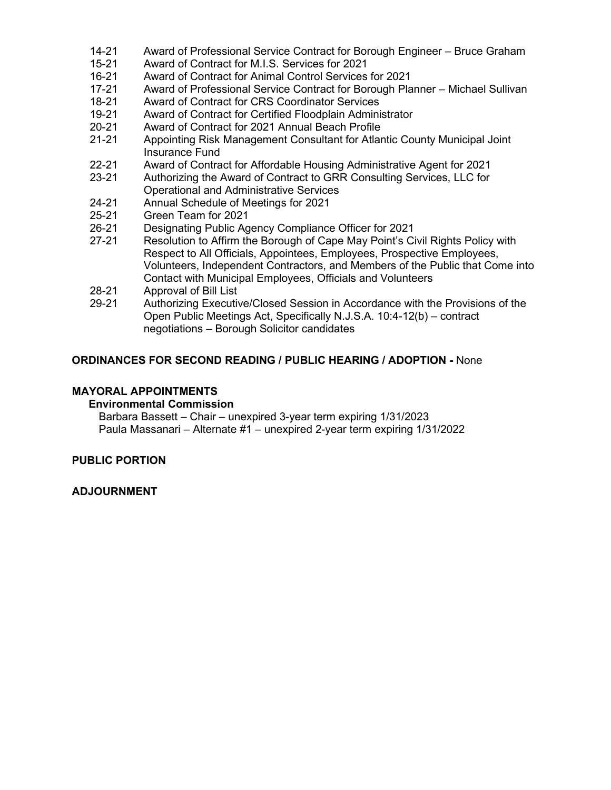- 14-21 Award of Professional Service Contract for Borough Engineer Bruce Graham
- 15-21 Award of Contract for M.I.S. Services for 2021
- 16-21 Award of Contract for Animal Control Services for 2021
- Award of Professional Service Contract for Borough Planner Michael Sullivan
- 18-21 Award of Contract for CRS Coordinator Services
- 19-21 Award of Contract for Certified Floodplain Administrator<br>20-21 Award of Contract for 2021 Annual Beach Profile
- 20-21 Award of Contract for 2021 Annual Beach Profile
- 21-21 Appointing Risk Management Consultant for Atlantic County Municipal Joint Insurance Fund
- 22-21 Award of Contract for Affordable Housing Administrative Agent for 2021<br>23-21 Authorizing the Award of Contract to GRR Consulting Services. LLC for
- Authorizing the Award of Contract to GRR Consulting Services, LLC for Operational and Administrative Services
- 24-21 Annual Schedule of Meetings for 2021<br>25-21 Green Team for 2021
- 25-21 Green Team for 2021
- 26-21 Designating Public Agency Compliance Officer for 2021
- 27-21 Resolution to Affirm the Borough of Cape May Point's Civil Rights Policy with Respect to All Officials, Appointees, Employees, Prospective Employees, Volunteers, Independent Contractors, and Members of the Public that Come into Contact with Municipal Employees, Officials and Volunteers
- 28-21 Approval of Bill List
- 29-21 Authorizing Executive/Closed Session in Accordance with the Provisions of the Open Public Meetings Act, Specifically N.J.S.A. 10:4-12(b) – contract negotiations – Borough Solicitor candidates

## **ORDINANCES FOR SECOND READING / PUBLIC HEARING / ADOPTION -** None

## **MAYORAL APPOINTMENTS**

#### **Environmental Commission**

Barbara Bassett – Chair – unexpired 3-year term expiring 1/31/2023 Paula Massanari – Alternate #1 – unexpired 2-year term expiring 1/31/2022

# **PUBLIC PORTION**

#### **ADJOURNMENT**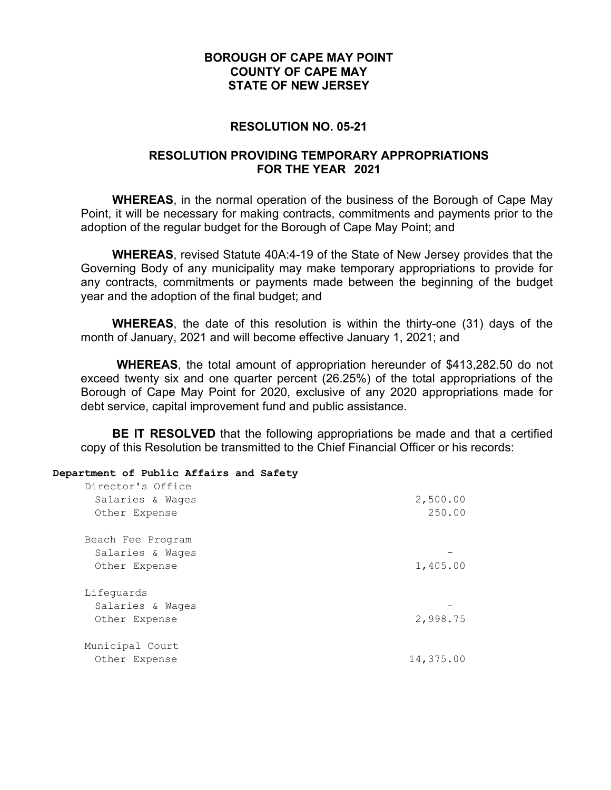## **RESOLUTION NO. 05-21**

## **RESOLUTION PROVIDING TEMPORARY APPROPRIATIONS FOR THE YEAR 2021**

**WHEREAS**, in the normal operation of the business of the Borough of Cape May Point, it will be necessary for making contracts, commitments and payments prior to the adoption of the regular budget for the Borough of Cape May Point; and

**WHEREAS**, revised Statute 40A:4-19 of the State of New Jersey provides that the Governing Body of any municipality may make temporary appropriations to provide for any contracts, commitments or payments made between the beginning of the budget year and the adoption of the final budget; and

**WHEREAS**, the date of this resolution is within the thirty-one (31) days of the month of January, 2021 and will become effective January 1, 2021; and

**WHEREAS**, the total amount of appropriation hereunder of \$413,282.50 do not exceed twenty six and one quarter percent (26.25%) of the total appropriations of the Borough of Cape May Point for 2020, exclusive of any 2020 appropriations made for debt service, capital improvement fund and public assistance.

**BE IT RESOLVED** that the following appropriations be made and that a certified copy of this Resolution be transmitted to the Chief Financial Officer or his records:

#### **Department of Public Affairs and Safety**

| Director's Office<br>Salaries & Wages<br>Other Expense | 2,500.00<br>250.00 |
|--------------------------------------------------------|--------------------|
| Beach Fee Program<br>Salaries & Wages<br>Other Expense | 1,405.00           |
| Lifequards<br>Salaries & Wages<br>Other Expense        | 2,998.75           |
| Municipal Court<br>Other Expense                       | 14,375.00          |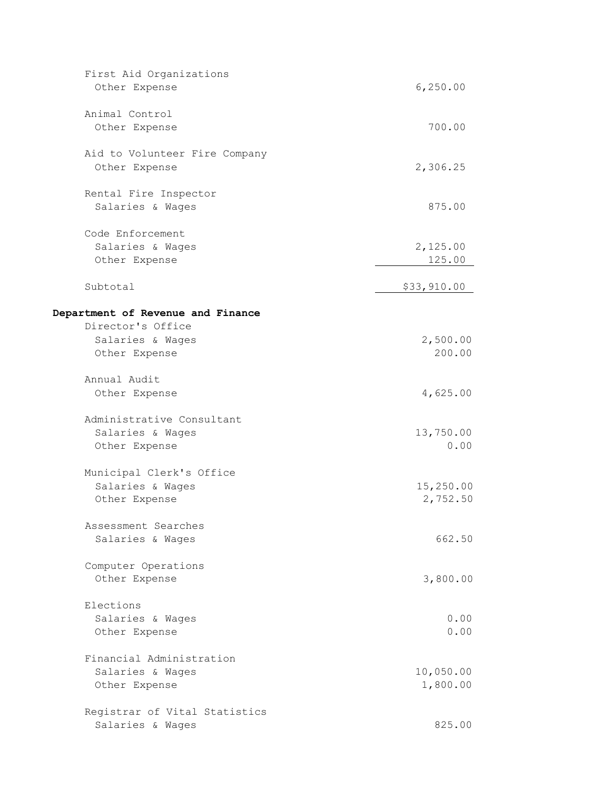| First Aid Organizations           |             |
|-----------------------------------|-------------|
| Other Expense                     | 6,250.00    |
| Animal Control                    |             |
| Other Expense                     | 700.00      |
| Aid to Volunteer Fire Company     |             |
| Other Expense                     | 2,306.25    |
| Rental Fire Inspector             |             |
| Salaries & Wages                  | 875.00      |
| Code Enforcement                  |             |
| Salaries & Wages                  | 2,125.00    |
| Other Expense                     | 125.00      |
| Subtotal                          | \$33,910.00 |
| Department of Revenue and Finance |             |
| Director's Office                 |             |
| Salaries & Wages                  | 2,500.00    |
| Other Expense                     | 200.00      |
| Annual Audit                      |             |
| Other Expense                     | 4,625.00    |
| Administrative Consultant         |             |
| Salaries & Wages                  | 13,750.00   |
| Other Expense                     | 0.00        |
| Municipal Clerk's Office          |             |
| Salaries & Wages                  | 15,250.00   |
| Other Expense                     | 2,752.50    |
| Assessment Searches               |             |
| Salaries & Wages                  | 662.50      |
| Computer Operations               |             |
| Other Expense                     | 3,800.00    |
| Elections                         |             |
| Salaries & Wages                  | 0.00        |
| Other Expense                     | 0.00        |
| Financial Administration          |             |
| Salaries & Wages                  | 10,050.00   |
| Other Expense                     | 1,800.00    |
| Registrar of Vital Statistics     |             |
| Salaries & Wages                  | 825.00      |
|                                   |             |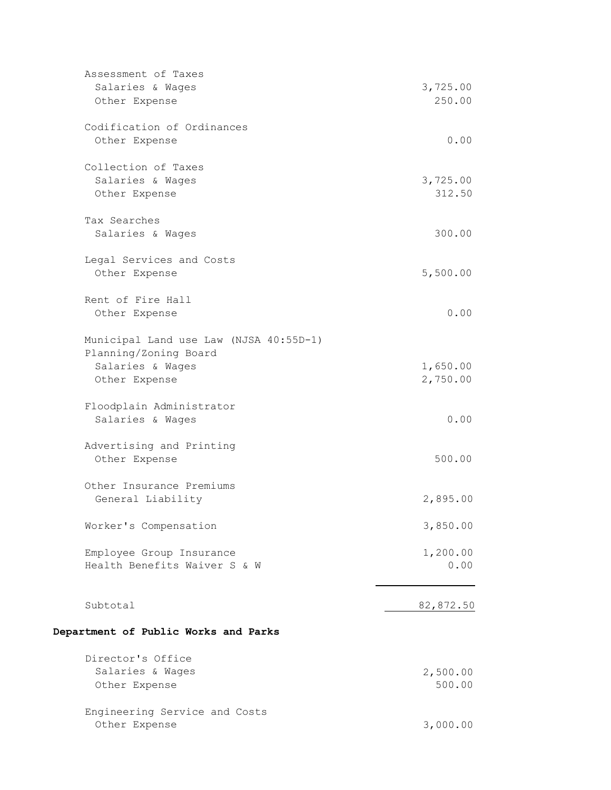|          | Assessment of Taxes                    |           |
|----------|----------------------------------------|-----------|
|          | Salaries & Wages                       | 3,725.00  |
|          | Other Expense                          | 250.00    |
|          | Codification of Ordinances             |           |
|          | Other Expense                          | 0.00      |
|          | Collection of Taxes                    |           |
|          | Salaries & Wages                       | 3,725.00  |
|          | Other Expense                          | 312.50    |
|          | Tax Searches                           |           |
|          | Salaries & Wages                       | 300.00    |
|          | Legal Services and Costs               |           |
|          | Other Expense                          | 5,500.00  |
|          | Rent of Fire Hall                      |           |
|          | Other Expense                          | 0.00      |
|          | Municipal Land use Law (NJSA 40:55D-1) |           |
|          | Planning/Zoning Board                  |           |
|          | Salaries & Wages                       | 1,650.00  |
|          | Other Expense                          | 2,750.00  |
|          | Floodplain Administrator               |           |
|          | Salaries & Wages                       | 0.00      |
|          | Advertising and Printing               |           |
|          | Other Expense                          | 500.00    |
|          | Other Insurance Premiums               |           |
|          | General Liability                      | 2,895.00  |
|          | Worker's Compensation                  | 3,850.00  |
|          |                                        |           |
|          | Employee Group Insurance               | 1,200.00  |
|          | Health Benefits Waiver S & W           | 0.00      |
|          |                                        |           |
| Subtotal |                                        | 82,872.50 |
|          | Department of Public Works and Parks   |           |
|          | Director's Office                      |           |
|          | Salaries & Wages                       | 2,500.00  |
|          | Other Expense                          | 500.00    |
|          | Engineering Service and Costs          |           |
|          | Other Expense                          | 3,000.00  |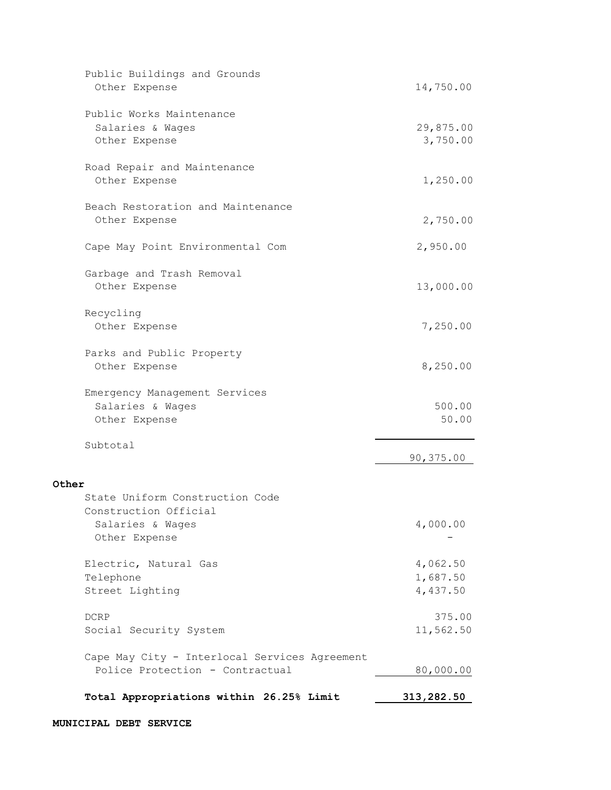| Public Buildings and Grounds<br>Other Expense | 14,750.00  |
|-----------------------------------------------|------------|
|                                               |            |
| Public Works Maintenance                      |            |
| Salaries & Wages                              | 29,875.00  |
| Other Expense                                 | 3,750.00   |
|                                               |            |
| Road Repair and Maintenance                   |            |
| Other Expense                                 | 1,250.00   |
| Beach Restoration and Maintenance             |            |
| Other Expense                                 | 2,750.00   |
|                                               |            |
| Cape May Point Environmental Com              | 2,950.00   |
|                                               |            |
| Garbage and Trash Removal<br>Other Expense    | 13,000.00  |
|                                               |            |
| Recycling                                     |            |
| Other Expense                                 | 7,250.00   |
|                                               |            |
| Parks and Public Property                     |            |
| Other Expense                                 | 8,250.00   |
| Emergency Management Services                 |            |
| Salaries & Wages                              | 500.00     |
| Other Expense                                 | 50.00      |
|                                               |            |
| Subtotal                                      | 90,375.00  |
|                                               |            |
| Other                                         |            |
| State Uniform Construction Code               |            |
| Construction Official                         |            |
| Salaries & Wages                              | 4,000.00   |
| Other Expense                                 |            |
| Electric, Natural Gas                         | 4,062.50   |
| Telephone                                     | 1,687.50   |
| Street Lighting                               | 4,437.50   |
|                                               |            |
| <b>DCRP</b>                                   | 375.00     |
| Social Security System                        | 11,562.50  |
| Cape May City - Interlocal Services Agreement |            |
| Police Protection - Contractual               | 80,000.00  |
|                                               |            |
| Total Appropriations within 26.25% Limit      | 313,282.50 |
|                                               |            |

#### **MUNICIPAL DEBT SERVICE**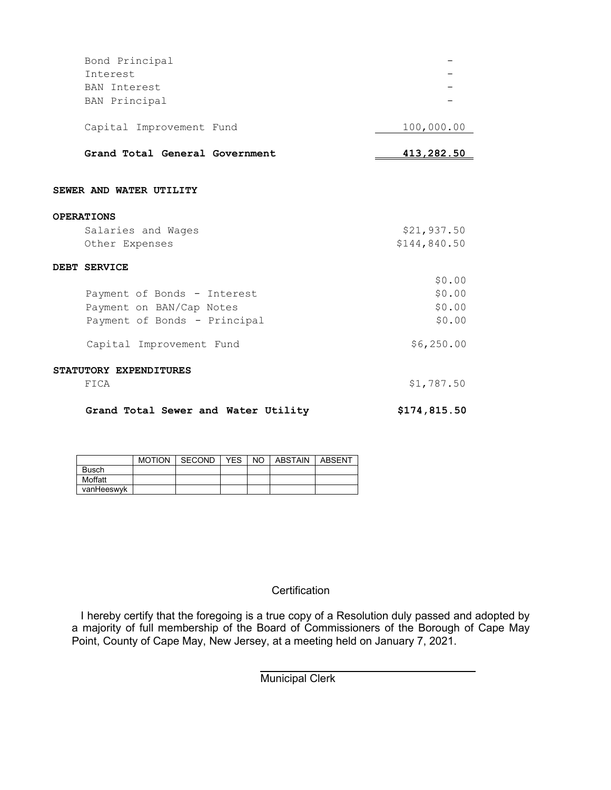| Bond Principal                      |              |
|-------------------------------------|--------------|
| Interest                            |              |
| BAN Interest                        |              |
| BAN Principal                       |              |
|                                     |              |
| Capital Improvement Fund            | 100,000.00   |
|                                     |              |
| Grand Total General Government      | 413,282.50   |
|                                     |              |
| SEWER AND WATER UTILITY             |              |
|                                     |              |
| <b>OPERATIONS</b>                   |              |
| Salaries and Wages                  | \$21,937.50  |
| Other Expenses                      | \$144,840.50 |
|                                     |              |
| DEBT SERVICE                        |              |
|                                     | \$0.00       |
| Payment of Bonds - Interest         | \$0.00       |
| Payment on BAN/Cap Notes            | \$0.00       |
| Payment of Bonds - Principal        | \$0.00       |
|                                     |              |
| Capital Improvement Fund            | \$6,250.00   |
|                                     |              |
| STATUTORY EXPENDITURES              |              |
| FICA                                | \$1,787.50   |
|                                     |              |
| Grand Total Sewer and Water Utility | \$174,815.50 |
|                                     |              |

|            | <b>MOTION</b> | SECOND | YES | NO. | ABSTAIN | ABSENT |
|------------|---------------|--------|-----|-----|---------|--------|
| Busch      |               |        |     |     |         |        |
| Moffatt    |               |        |     |     |         |        |
| vanHeeswyk |               |        |     |     |         |        |

## **Certification**

I hereby certify that the foregoing is a true copy of a Resolution duly passed and adopted by a majority of full membership of the Board of Commissioners of the Borough of Cape May Point, County of Cape May, New Jersey, at a meeting held on January 7, 2021.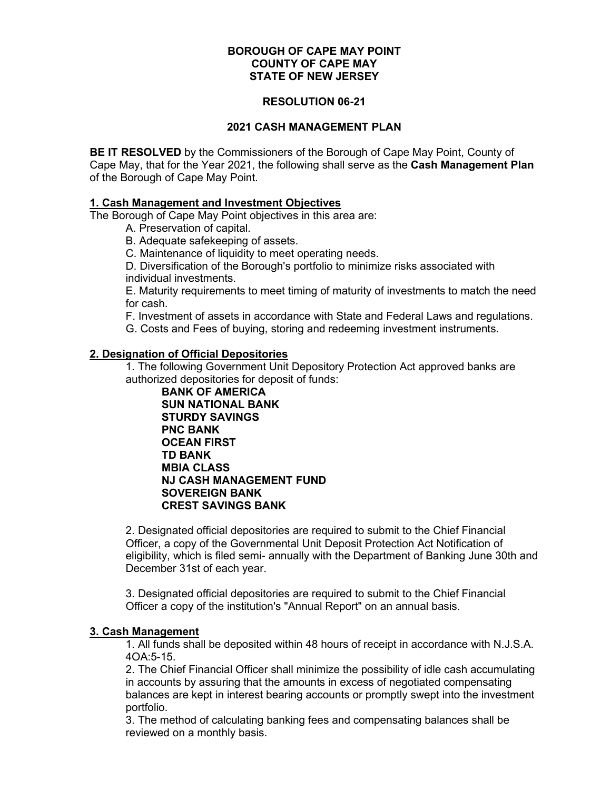#### **RESOLUTION 06-21**

#### **2021 CASH MANAGEMENT PLAN**

**BE IT RESOLVED** by the Commissioners of the Borough of Cape May Point, County of Cape May, that for the Year 2021, the following shall serve as the **Cash Management Plan** of the Borough of Cape May Point.

#### **1. Cash Management and Investment Objectives**

The Borough of Cape May Point objectives in this area are:

A. Preservation of capital.

B. Adequate safekeeping of assets.

C. Maintenance of liquidity to meet operating needs.

D. Diversification of the Borough's portfolio to minimize risks associated with individual investments.

E. Maturity requirements to meet timing of maturity of investments to match the need for cash.

F. Investment of assets in accordance with State and Federal Laws and regulations.

G. Costs and Fees of buying, storing and redeeming investment instruments.

#### **2. Designation of Official Depositories**

1. The following Government Unit Depository Protection Act approved banks are authorized depositories for deposit of funds:

**BANK OF AMERICA SUN NATIONAL BANK STURDY SAVINGS PNC BANK OCEAN FIRST TD BANK MBIA CLASS NJ CASH MANAGEMENT FUND SOVEREIGN BANK CREST SAVINGS BANK**

2. Designated official depositories are required to submit to the Chief Financial Officer, a copy of the Governmental Unit Deposit Protection Act Notification of eligibility, which is filed semi- annually with the Department of Banking June 30th and December 31st of each year.

3. Designated official depositories are required to submit to the Chief Financial Officer a copy of the institution's "Annual Report" on an annual basis.

#### **3. Cash Management**

1. All funds shall be deposited within 48 hours of receipt in accordance with N.J.S.A. 4OA:5-15.

2. The Chief Financial Officer shall minimize the possibility of idle cash accumulating in accounts by assuring that the amounts in excess of negotiated compensating balances are kept in interest bearing accounts or promptly swept into the investment portfolio.

3. The method of calculating banking fees and compensating balances shall be reviewed on a monthly basis.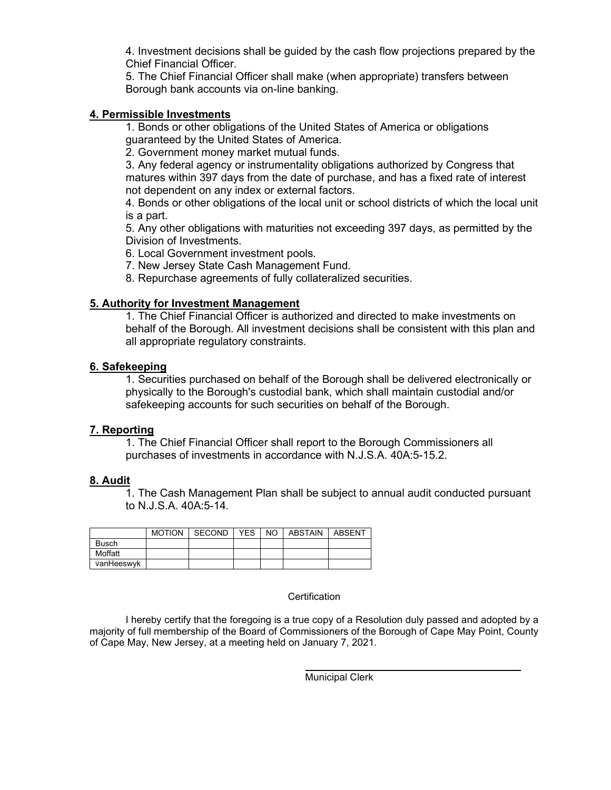4. Investment decisions shall be guided by the cash flow projections prepared by the Chief Financial Officer.

5. The Chief Financial Officer shall make (when appropriate) transfers between Borough bank accounts via on-line banking.

#### **4. Permissible Investments**

1. Bonds or other obligations of the United States of America or obligations guaranteed by the United States of America.

2. Government money market mutual funds.

3. Any federal agency or instrumentality obligations authorized by Congress that matures within 397 days from the date of purchase, and has a fixed rate of interest not dependent on any index or external factors.

4. Bonds or other obligations of the local unit or school districts of which the local unit is a part.

5. Any other obligations with maturities not exceeding 397 days, as permitted by the Division of Investments.

6. Local Government investment pools.

7. New Jersey State Cash Management Fund.

8. Repurchase agreements of fully collateralized securities.

#### **5. Authority for Investment Management**

1. The Chief Financial Officer is authorized and directed to make investments on behalf of the Borough. All investment decisions shall be consistent with this plan and all appropriate regulatory constraints.

#### **6. Safekeeping**

1. Securities purchased on behalf of the Borough shall be delivered electronically or physically to the Borough's custodial bank, which shall maintain custodial and/or safekeeping accounts for such securities on behalf of the Borough.

#### **7. Reporting**

1. The Chief Financial Officer shall report to the Borough Commissioners all purchases of investments in accordance with N.J.S.A. 40A:5-15.2.

#### **8. Audit**

1. The Cash Management Plan shall be subject to annual audit conducted pursuant to N.J.S.A. 40A:5-14.

|              | <b>MOTION</b> | SECOND | <b>YES</b> | NO I | ABSTAIN | ABSENT |
|--------------|---------------|--------|------------|------|---------|--------|
| <b>Busch</b> |               |        |            |      |         |        |
| Moffatt      |               |        |            |      |         |        |
| vanHeeswyk   |               |        |            |      |         |        |

#### **Certification**

I hereby certify that the foregoing is a true copy of a Resolution duly passed and adopted by a majority of full membership of the Board of Commissioners of the Borough of Cape May Point, County of Cape May, New Jersey, at a meeting held on January 7, 2021.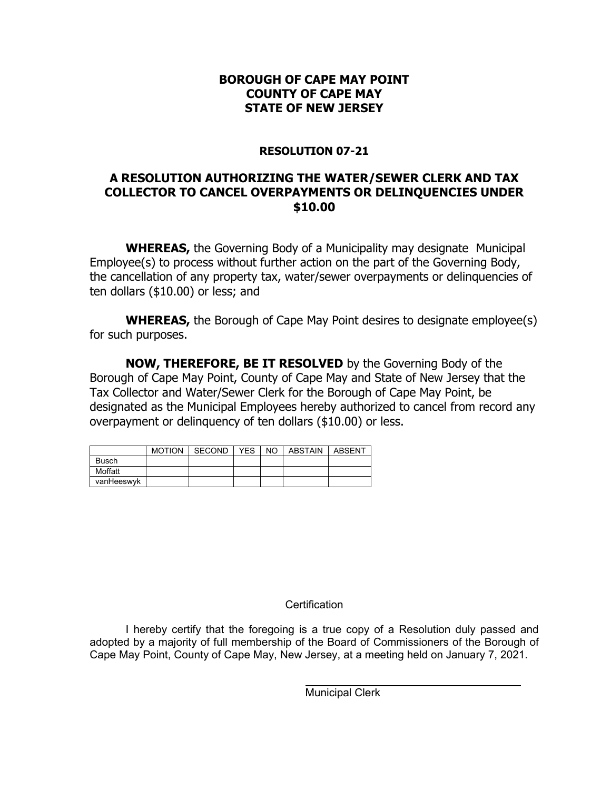# **RESOLUTION 07-21**

# **A RESOLUTION AUTHORIZING THE WATER/SEWER CLERK AND TAX COLLECTOR TO CANCEL OVERPAYMENTS OR DELINQUENCIES UNDER \$10.00**

**WHEREAS,** the Governing Body of a Municipality may designate Municipal Employee(s) to process without further action on the part of the Governing Body, the cancellation of any property tax, water/sewer overpayments or delinquencies of ten dollars (\$10.00) or less; and

**WHEREAS,** the Borough of Cape May Point desires to designate employee(s) for such purposes.

**NOW, THEREFORE, BE IT RESOLVED** by the Governing Body of the Borough of Cape May Point, County of Cape May and State of New Jersey that the Tax Collector and Water/Sewer Clerk for the Borough of Cape May Point, be designated as the Municipal Employees hereby authorized to cancel from record any overpayment or delinquency of ten dollars (\$10.00) or less.

|              | <b>MOTION</b> | SECOND | YES | NO I | ABSTAIN | ABSENT |
|--------------|---------------|--------|-----|------|---------|--------|
| <b>Busch</b> |               |        |     |      |         |        |
| Moffatt      |               |        |     |      |         |        |
| vanHeeswyk   |               |        |     |      |         |        |

# **Certification**

I hereby certify that the foregoing is a true copy of a Resolution duly passed and adopted by a majority of full membership of the Board of Commissioners of the Borough of Cape May Point, County of Cape May, New Jersey, at a meeting held on January 7, 2021.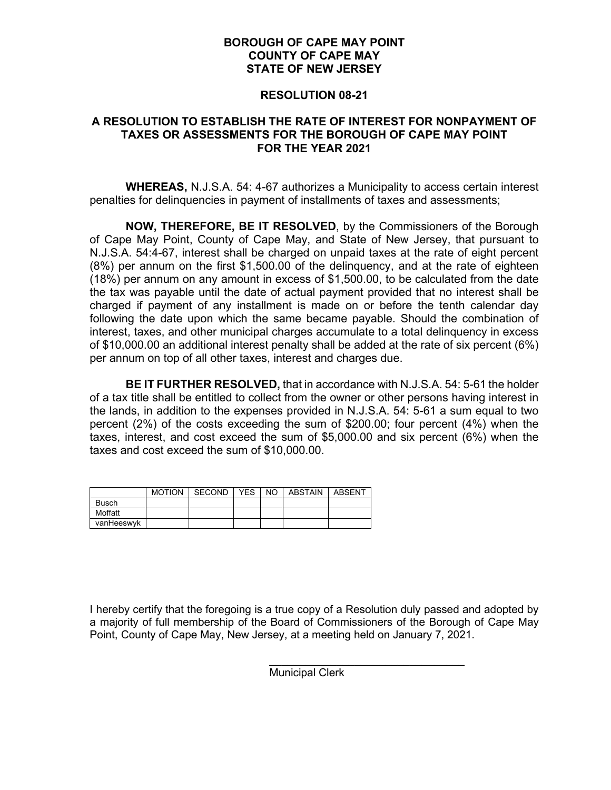#### **RESOLUTION 08-21**

## **A RESOLUTION TO ESTABLISH THE RATE OF INTEREST FOR NONPAYMENT OF TAXES OR ASSESSMENTS FOR THE BOROUGH OF CAPE MAY POINT FOR THE YEAR 2021**

**WHEREAS,** N.J.S.A. 54: 4-67 authorizes a Municipality to access certain interest penalties for delinquencies in payment of installments of taxes and assessments;

**NOW, THEREFORE, BE IT RESOLVED**, by the Commissioners of the Borough of Cape May Point, County of Cape May, and State of New Jersey, that pursuant to N.J.S.A. 54:4-67, interest shall be charged on unpaid taxes at the rate of eight percent (8%) per annum on the first \$1,500.00 of the delinquency, and at the rate of eighteen (18%) per annum on any amount in excess of \$1,500.00, to be calculated from the date the tax was payable until the date of actual payment provided that no interest shall be charged if payment of any installment is made on or before the tenth calendar day following the date upon which the same became payable. Should the combination of interest, taxes, and other municipal charges accumulate to a total delinquency in excess of \$10,000.00 an additional interest penalty shall be added at the rate of six percent (6%) per annum on top of all other taxes, interest and charges due.

**BE IT FURTHER RESOLVED,** that in accordance with N.J.S.A. 54: 5-61 the holder of a tax title shall be entitled to collect from the owner or other persons having interest in the lands, in addition to the expenses provided in N.J.S.A. 54: 5-61 a sum equal to two percent (2%) of the costs exceeding the sum of \$200.00; four percent (4%) when the taxes, interest, and cost exceed the sum of \$5,000.00 and six percent (6%) when the taxes and cost exceed the sum of \$10,000.00.

|              | <b>MOTION</b> | SECOND | <b>YES</b> | NO. | <b>ABSTAIN</b> | <b>ABSENT</b> |
|--------------|---------------|--------|------------|-----|----------------|---------------|
| <b>Busch</b> |               |        |            |     |                |               |
| Moffatt      |               |        |            |     |                |               |
| vanHeeswyk   |               |        |            |     |                |               |

I hereby certify that the foregoing is a true copy of a Resolution duly passed and adopted by a majority of full membership of the Board of Commissioners of the Borough of Cape May Point, County of Cape May, New Jersey, at a meeting held on January 7, 2021.

> $\mathcal{L}_\text{max}$  , and the set of the set of the set of the set of the set of the set of the set of the set of the set of the set of the set of the set of the set of the set of the set of the set of the set of the set of the Municipal Clerk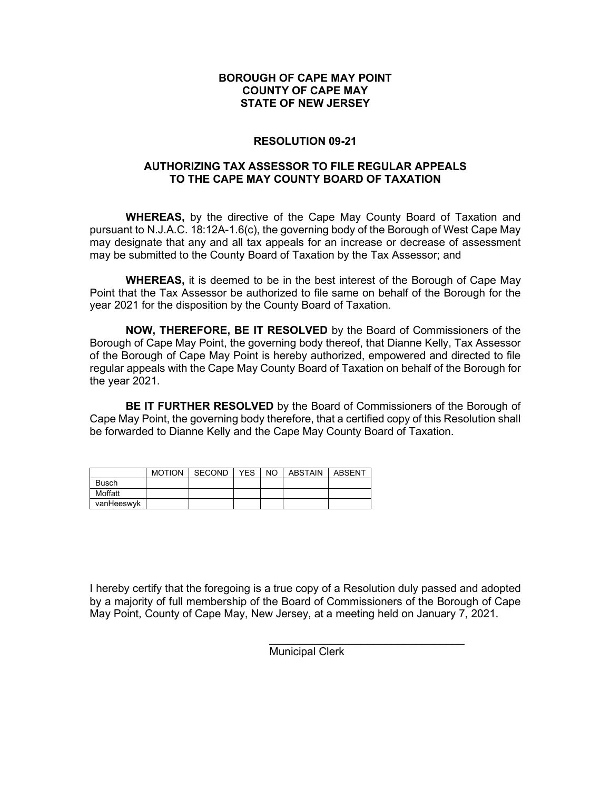#### **RESOLUTION 09-21**

#### **AUTHORIZING TAX ASSESSOR TO FILE REGULAR APPEALS TO THE CAPE MAY COUNTY BOARD OF TAXATION**

**WHEREAS,** by the directive of the Cape May County Board of Taxation and pursuant to N.J.A.C. 18:12A-1.6(c), the governing body of the Borough of West Cape May may designate that any and all tax appeals for an increase or decrease of assessment may be submitted to the County Board of Taxation by the Tax Assessor; and

**WHEREAS,** it is deemed to be in the best interest of the Borough of Cape May Point that the Tax Assessor be authorized to file same on behalf of the Borough for the year 2021 for the disposition by the County Board of Taxation.

**NOW, THEREFORE, BE IT RESOLVED** by the Board of Commissioners of the Borough of Cape May Point, the governing body thereof, that Dianne Kelly, Tax Assessor of the Borough of Cape May Point is hereby authorized, empowered and directed to file regular appeals with the Cape May County Board of Taxation on behalf of the Borough for the year 2021.

**BE IT FURTHER RESOLVED** by the Board of Commissioners of the Borough of Cape May Point, the governing body therefore, that a certified copy of this Resolution shall be forwarded to Dianne Kelly and the Cape May County Board of Taxation.

|              | <b>MOTION</b> | SECOND | YES. | NO. | ABSTAIN | ABSENT |
|--------------|---------------|--------|------|-----|---------|--------|
| <b>Busch</b> |               |        |      |     |         |        |
| Moffatt      |               |        |      |     |         |        |
| vanHeeswyk   |               |        |      |     |         |        |

I hereby certify that the foregoing is a true copy of a Resolution duly passed and adopted by a majority of full membership of the Board of Commissioners of the Borough of Cape May Point, County of Cape May, New Jersey, at a meeting held on January 7, 2021.

> $\overline{\phantom{a}}$  ,  $\overline{\phantom{a}}$  ,  $\overline{\phantom{a}}$  ,  $\overline{\phantom{a}}$  ,  $\overline{\phantom{a}}$  ,  $\overline{\phantom{a}}$  ,  $\overline{\phantom{a}}$  ,  $\overline{\phantom{a}}$  ,  $\overline{\phantom{a}}$  ,  $\overline{\phantom{a}}$  ,  $\overline{\phantom{a}}$  ,  $\overline{\phantom{a}}$  ,  $\overline{\phantom{a}}$  ,  $\overline{\phantom{a}}$  ,  $\overline{\phantom{a}}$  ,  $\overline{\phantom{a}}$ Municipal Clerk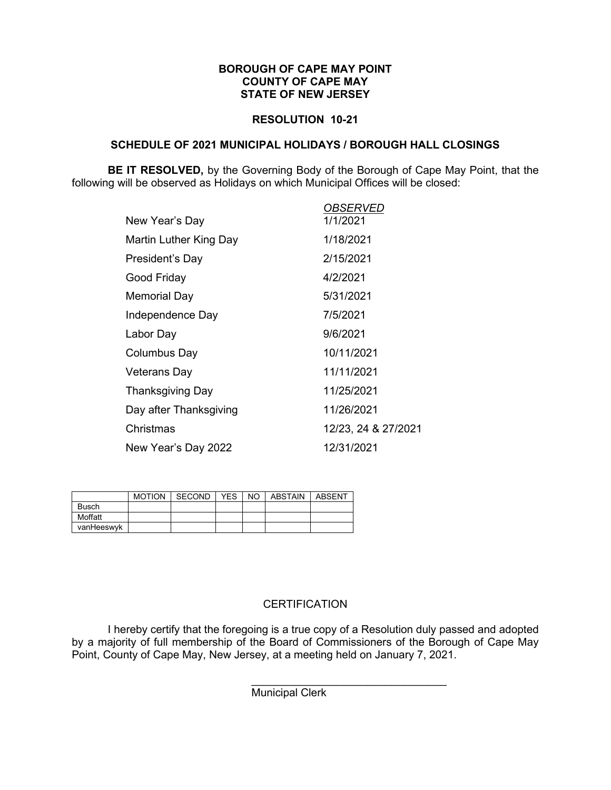#### **RESOLUTION 10-21**

#### **SCHEDULE OF 2021 MUNICIPAL HOLIDAYS / BOROUGH HALL CLOSINGS**

**BE IT RESOLVED,** by the Governing Body of the Borough of Cape May Point, that the following will be observed as Holidays on which Municipal Offices will be closed:

|                        | <i><b>OBSERVED</b></i> |
|------------------------|------------------------|
| New Year's Day         | 1/1/2021               |
| Martin Luther King Day | 1/18/2021              |
| President's Day        | 2/15/2021              |
| Good Friday            | 4/2/2021               |
| Memorial Day           | 5/31/2021              |
| Independence Day       | 7/5/2021               |
| Labor Day              | 9/6/2021               |
| Columbus Day           | 10/11/2021             |
| Veterans Day           | 11/11/2021             |
| Thanksgiving Day       | 11/25/2021             |
| Day after Thanksgiving | 11/26/2021             |
| Christmas              | 12/23, 24 & 27/2021    |
| New Year's Day 2022    | 12/31/2021             |

|            | <b>MOTION</b> | SECOND | <b>YES</b> | NO I | ABSTAIN | ABSENT |
|------------|---------------|--------|------------|------|---------|--------|
| Busch      |               |        |            |      |         |        |
| Moffatt    |               |        |            |      |         |        |
| vanHeeswyk |               |        |            |      |         |        |

# **CERTIFICATION**

I hereby certify that the foregoing is a true copy of a Resolution duly passed and adopted by a majority of full membership of the Board of Commissioners of the Borough of Cape May Point, County of Cape May, New Jersey, at a meeting held on January 7, 2021.

> $\frac{1}{2}$  , and the set of the set of the set of the set of the set of the set of the set of the set of the set of the set of the set of the set of the set of the set of the set of the set of the set of the set of the set Municipal Clerk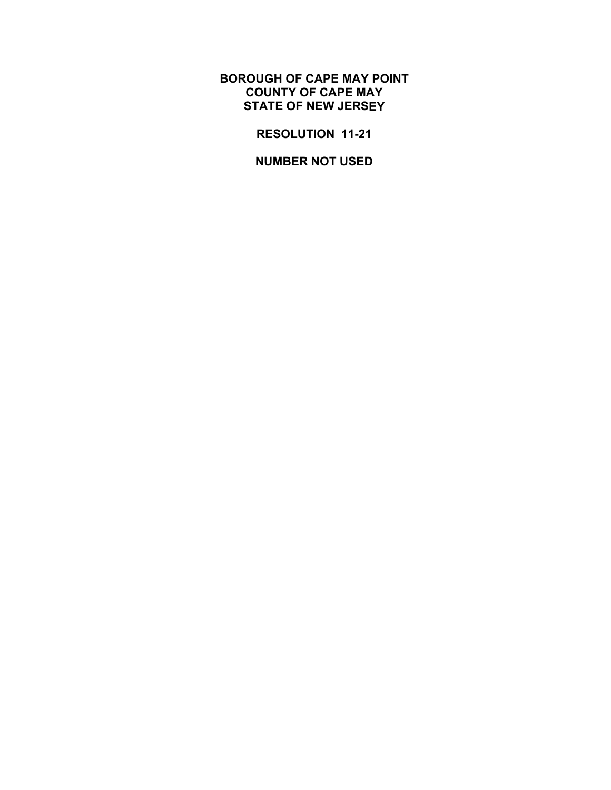**RESOLUTION 11-21** 

**NUMBER NOT USED**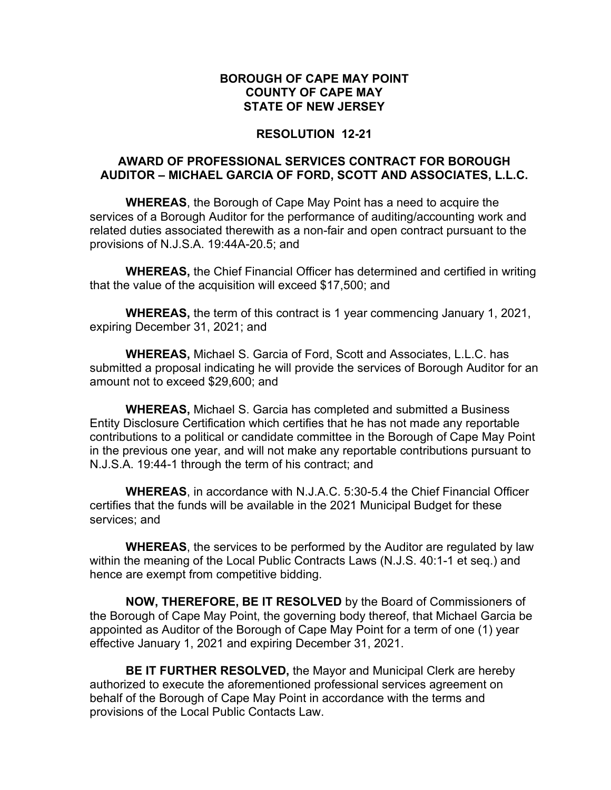## **RESOLUTION 12-21**

# **AWARD OF PROFESSIONAL SERVICES CONTRACT FOR BOROUGH AUDITOR – MICHAEL GARCIA OF FORD, SCOTT AND ASSOCIATES, L.L.C.**

**WHEREAS**, the Borough of Cape May Point has a need to acquire the services of a Borough Auditor for the performance of auditing/accounting work and related duties associated therewith as a non-fair and open contract pursuant to the provisions of N.J.S.A. 19:44A-20.5; and

**WHEREAS,** the Chief Financial Officer has determined and certified in writing that the value of the acquisition will exceed \$17,500; and

**WHEREAS,** the term of this contract is 1 year commencing January 1, 2021, expiring December 31, 2021; and

**WHEREAS,** Michael S. Garcia of Ford, Scott and Associates, L.L.C. has submitted a proposal indicating he will provide the services of Borough Auditor for an amount not to exceed \$29,600; and

**WHEREAS,** Michael S. Garcia has completed and submitted a Business Entity Disclosure Certification which certifies that he has not made any reportable contributions to a political or candidate committee in the Borough of Cape May Point in the previous one year, and will not make any reportable contributions pursuant to N.J.S.A. 19:44-1 through the term of his contract; and

**WHEREAS**, in accordance with N.J.A.C. 5:30-5.4 the Chief Financial Officer certifies that the funds will be available in the 2021 Municipal Budget for these services; and

**WHEREAS**, the services to be performed by the Auditor are regulated by law within the meaning of the Local Public Contracts Laws (N.J.S. 40:1-1 et seq.) and hence are exempt from competitive bidding.

**NOW, THEREFORE, BE IT RESOLVED** by the Board of Commissioners of the Borough of Cape May Point, the governing body thereof, that Michael Garcia be appointed as Auditor of the Borough of Cape May Point for a term of one (1) year effective January 1, 2021 and expiring December 31, 2021.

**BE IT FURTHER RESOLVED,** the Mayor and Municipal Clerk are hereby authorized to execute the aforementioned professional services agreement on behalf of the Borough of Cape May Point in accordance with the terms and provisions of the Local Public Contacts Law.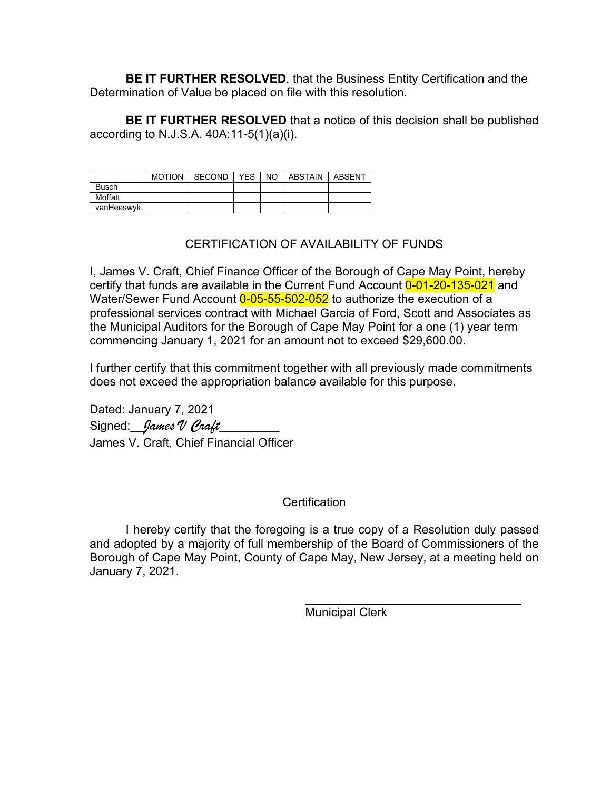**BE IT FURTHER RESOLVED**, that the Business Entity Certification and the Determination of Value be placed on file with this resolution.

**BE IT FURTHER RESOLVED** that a notice of this decision shall be published according to N.J.S.A. 40A:11-5(1)(a)(i).

|              | <b>MOTION</b> | SECOND | YES | NO I | ABSTAIN | ABSENT |
|--------------|---------------|--------|-----|------|---------|--------|
| <b>Busch</b> |               |        |     |      |         |        |
| Moffatt      |               |        |     |      |         |        |
| vanHeeswyk   |               |        |     |      |         |        |

# CERTIFICATION OF AVAILABILITY OF FUNDS

I, James V. Craft, Chief Finance Officer of the Borough of Cape May Point, hereby certify that funds are available in the Current Fund Account 0-01-20-135-021 and Water/Sewer Fund Account 0-05-55-502-052 to authorize the execution of a professional services contract with Michael Garcia of Ford, Scott and Associates as the Municipal Auditors for the Borough of Cape May Point for a one (1) year term commencing January 1, 2021 for an amount not to exceed \$29,600.00.

I further certify that this commitment together with all previously made commitments does not exceed the appropriation balance available for this purpose.

Dated: January 7, 2021 Signed: *James V Craft* James V. Craft, Chief Financial Officer

# **Certification**

I hereby certify that the foregoing is a true copy of a Resolution duly passed and adopted by a majority of full membership of the Board of Commissioners of the Borough of Cape May Point, County of Cape May, New Jersey, at a meeting held on January 7, 2021.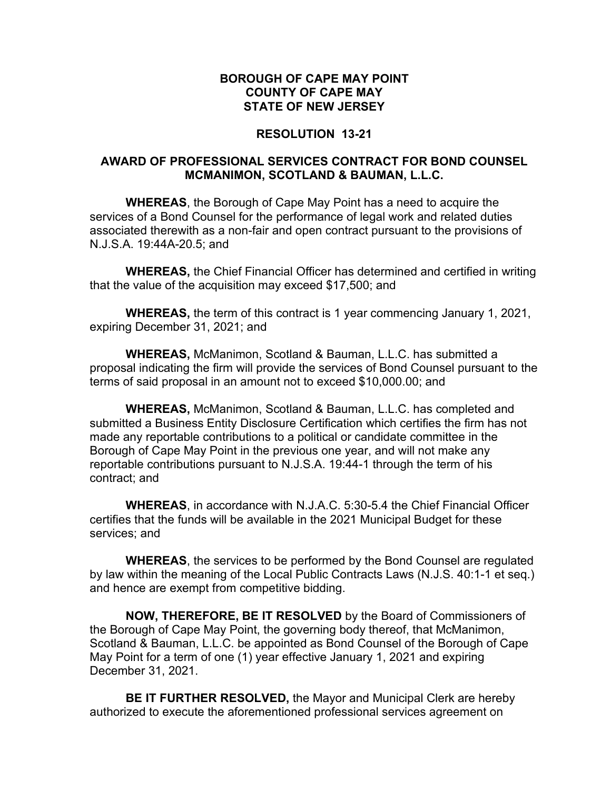# **RESOLUTION 13-21**

# **AWARD OF PROFESSIONAL SERVICES CONTRACT FOR BOND COUNSEL MCMANIMON, SCOTLAND & BAUMAN, L.L.C.**

**WHEREAS**, the Borough of Cape May Point has a need to acquire the services of a Bond Counsel for the performance of legal work and related duties associated therewith as a non-fair and open contract pursuant to the provisions of N.J.S.A. 19:44A-20.5; and

**WHEREAS,** the Chief Financial Officer has determined and certified in writing that the value of the acquisition may exceed \$17,500; and

**WHEREAS,** the term of this contract is 1 year commencing January 1, 2021, expiring December 31, 2021; and

**WHEREAS,** McManimon, Scotland & Bauman, L.L.C. has submitted a proposal indicating the firm will provide the services of Bond Counsel pursuant to the terms of said proposal in an amount not to exceed \$10,000.00; and

**WHEREAS,** McManimon, Scotland & Bauman, L.L.C. has completed and submitted a Business Entity Disclosure Certification which certifies the firm has not made any reportable contributions to a political or candidate committee in the Borough of Cape May Point in the previous one year, and will not make any reportable contributions pursuant to N.J.S.A. 19:44-1 through the term of his contract; and

**WHEREAS**, in accordance with N.J.A.C. 5:30-5.4 the Chief Financial Officer certifies that the funds will be available in the 2021 Municipal Budget for these services; and

**WHEREAS**, the services to be performed by the Bond Counsel are regulated by law within the meaning of the Local Public Contracts Laws (N.J.S. 40:1-1 et seq.) and hence are exempt from competitive bidding.

**NOW, THEREFORE, BE IT RESOLVED** by the Board of Commissioners of the Borough of Cape May Point, the governing body thereof, that McManimon, Scotland & Bauman, L.L.C. be appointed as Bond Counsel of the Borough of Cape May Point for a term of one (1) year effective January 1, 2021 and expiring December 31, 2021.

**BE IT FURTHER RESOLVED,** the Mayor and Municipal Clerk are hereby authorized to execute the aforementioned professional services agreement on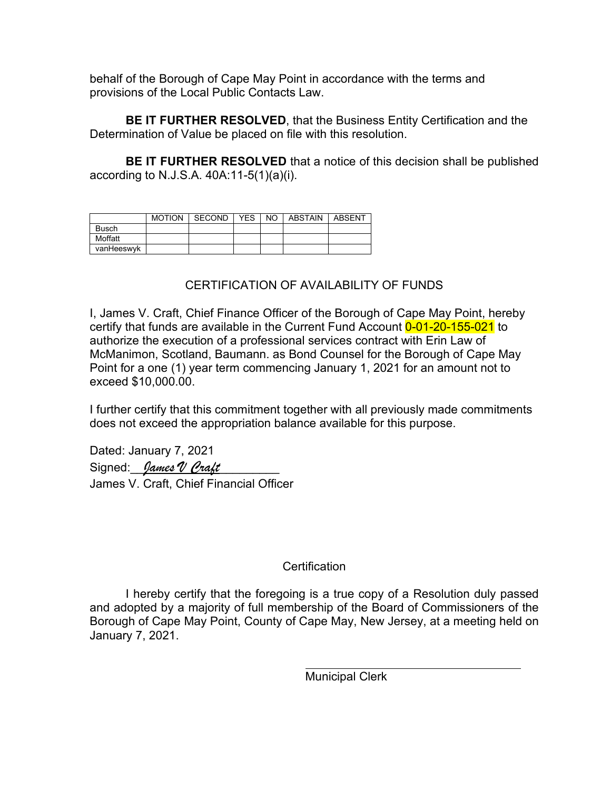behalf of the Borough of Cape May Point in accordance with the terms and provisions of the Local Public Contacts Law.

**BE IT FURTHER RESOLVED**, that the Business Entity Certification and the Determination of Value be placed on file with this resolution.

**BE IT FURTHER RESOLVED** that a notice of this decision shall be published according to N.J.S.A. 40A:11-5(1)(a)(i).

|              | <b>MOTION</b> | SECOND | <b>YES</b> | NO. | <b>ABSTAIN</b> | ABSENT |
|--------------|---------------|--------|------------|-----|----------------|--------|
| <b>Busch</b> |               |        |            |     |                |        |
| Moffatt      |               |        |            |     |                |        |
| vanHeeswyk   |               |        |            |     |                |        |

# CERTIFICATION OF AVAILABILITY OF FUNDS

I, James V. Craft, Chief Finance Officer of the Borough of Cape May Point, hereby certify that funds are available in the Current Fund Account 0-01-20-155-021 to authorize the execution of a professional services contract with Erin Law of McManimon, Scotland, Baumann. as Bond Counsel for the Borough of Cape May Point for a one (1) year term commencing January 1, 2021 for an amount not to exceed \$10,000.00.

I further certify that this commitment together with all previously made commitments does not exceed the appropriation balance available for this purpose.

Dated: January 7, 2021 Signed: *James V Craft* James V. Craft, Chief Financial Officer

# **Certification**

I hereby certify that the foregoing is a true copy of a Resolution duly passed and adopted by a majority of full membership of the Board of Commissioners of the Borough of Cape May Point, County of Cape May, New Jersey, at a meeting held on January 7, 2021.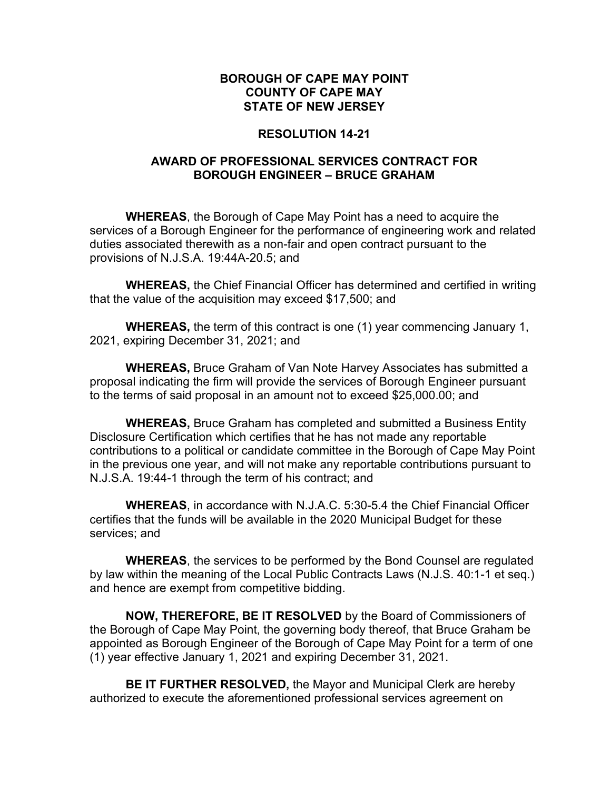# **RESOLUTION 14-21**

# **AWARD OF PROFESSIONAL SERVICES CONTRACT FOR BOROUGH ENGINEER – BRUCE GRAHAM**

**WHEREAS**, the Borough of Cape May Point has a need to acquire the services of a Borough Engineer for the performance of engineering work and related duties associated therewith as a non-fair and open contract pursuant to the provisions of N.J.S.A. 19:44A-20.5; and

**WHEREAS,** the Chief Financial Officer has determined and certified in writing that the value of the acquisition may exceed \$17,500; and

**WHEREAS,** the term of this contract is one (1) year commencing January 1, 2021, expiring December 31, 2021; and

**WHEREAS,** Bruce Graham of Van Note Harvey Associates has submitted a proposal indicating the firm will provide the services of Borough Engineer pursuant to the terms of said proposal in an amount not to exceed \$25,000.00; and

**WHEREAS,** Bruce Graham has completed and submitted a Business Entity Disclosure Certification which certifies that he has not made any reportable contributions to a political or candidate committee in the Borough of Cape May Point in the previous one year, and will not make any reportable contributions pursuant to N.J.S.A. 19:44-1 through the term of his contract; and

**WHEREAS**, in accordance with N.J.A.C. 5:30-5.4 the Chief Financial Officer certifies that the funds will be available in the 2020 Municipal Budget for these services; and

**WHEREAS**, the services to be performed by the Bond Counsel are regulated by law within the meaning of the Local Public Contracts Laws (N.J.S. 40:1-1 et seq.) and hence are exempt from competitive bidding.

**NOW, THEREFORE, BE IT RESOLVED** by the Board of Commissioners of the Borough of Cape May Point, the governing body thereof, that Bruce Graham be appointed as Borough Engineer of the Borough of Cape May Point for a term of one (1) year effective January 1, 2021 and expiring December 31, 2021.

**BE IT FURTHER RESOLVED,** the Mayor and Municipal Clerk are hereby authorized to execute the aforementioned professional services agreement on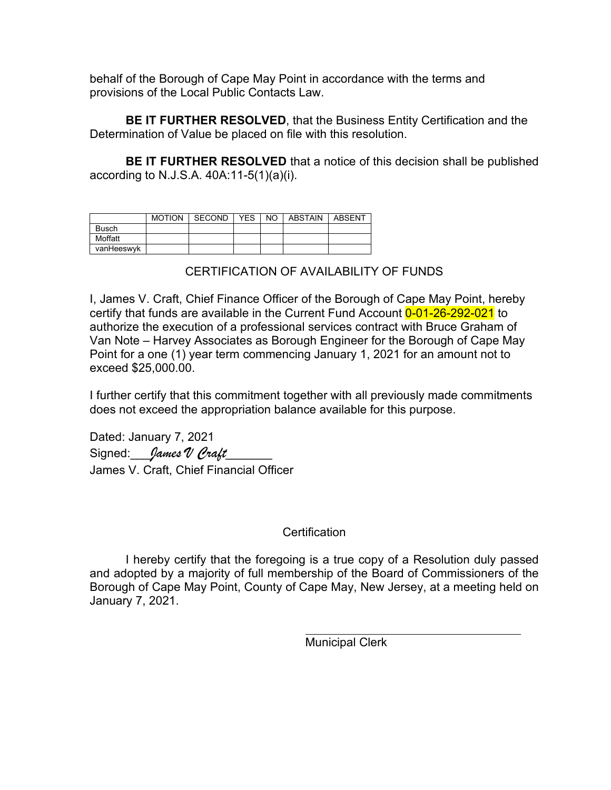behalf of the Borough of Cape May Point in accordance with the terms and provisions of the Local Public Contacts Law.

**BE IT FURTHER RESOLVED**, that the Business Entity Certification and the Determination of Value be placed on file with this resolution.

**BE IT FURTHER RESOLVED** that a notice of this decision shall be published according to N.J.S.A. 40A:11-5(1)(a)(i).

|            | MOTION | SECOND | YES | NO I | ABSTAIN | ABSENT |
|------------|--------|--------|-----|------|---------|--------|
| Busch      |        |        |     |      |         |        |
| Moffatt    |        |        |     |      |         |        |
| vanHeeswyk |        |        |     |      |         |        |

# CERTIFICATION OF AVAILABILITY OF FUNDS

I, James V. Craft, Chief Finance Officer of the Borough of Cape May Point, hereby certify that funds are available in the Current Fund Account 0-01-26-292-021 to authorize the execution of a professional services contract with Bruce Graham of Van Note – Harvey Associates as Borough Engineer for the Borough of Cape May Point for a one (1) year term commencing January 1, 2021 for an amount not to exceed \$25,000.00.

I further certify that this commitment together with all previously made commitments does not exceed the appropriation balance available for this purpose.

Dated: January 7, 2021 Signed: *James V Craft* James V. Craft, Chief Financial Officer

# **Certification**

I hereby certify that the foregoing is a true copy of a Resolution duly passed and adopted by a majority of full membership of the Board of Commissioners of the Borough of Cape May Point, County of Cape May, New Jersey, at a meeting held on January 7, 2021.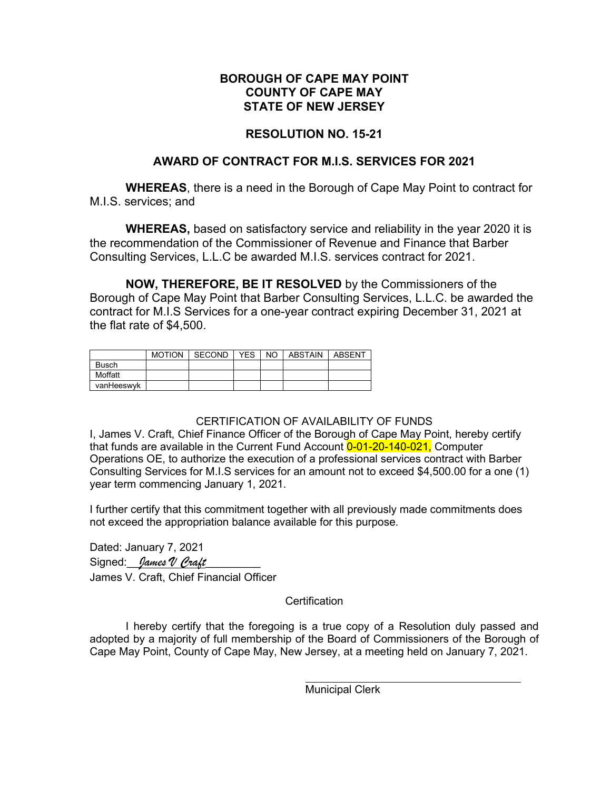## **RESOLUTION NO. 15-21**

# **AWARD OF CONTRACT FOR M.I.S. SERVICES FOR 2021**

**WHEREAS**, there is a need in the Borough of Cape May Point to contract for M.I.S. services; and

**WHEREAS,** based on satisfactory service and reliability in the year 2020 it is the recommendation of the Commissioner of Revenue and Finance that Barber Consulting Services, L.L.C be awarded M.I.S. services contract for 2021.

**NOW, THEREFORE, BE IT RESOLVED** by the Commissioners of the Borough of Cape May Point that Barber Consulting Services, L.L.C. be awarded the contract for M.I.S Services for a one-year contract expiring December 31, 2021 at the flat rate of \$4,500.

|              | <b>MOTION</b> | <b>SECOND</b> | YES. | NO. | ABSTAIN | ABSENT |
|--------------|---------------|---------------|------|-----|---------|--------|
| <b>Busch</b> |               |               |      |     |         |        |
| Moffatt      |               |               |      |     |         |        |
| vanHeeswyk   |               |               |      |     |         |        |

#### CERTIFICATION OF AVAILABILITY OF FUNDS

I, James V. Craft, Chief Finance Officer of the Borough of Cape May Point, hereby certify that funds are available in the Current Fund Account  $0-01-20-140-021$ , Computer Operations OE, to authorize the execution of a professional services contract with Barber Consulting Services for M.I.S services for an amount not to exceed \$4,500.00 for a one (1) year term commencing January 1, 2021.

I further certify that this commitment together with all previously made commitments does not exceed the appropriation balance available for this purpose.

Dated: January 7, 2021 Signed: *James V Craft* James V. Craft, Chief Financial Officer

**Certification** 

I hereby certify that the foregoing is a true copy of a Resolution duly passed and adopted by a majority of full membership of the Board of Commissioners of the Borough of Cape May Point, County of Cape May, New Jersey, at a meeting held on January 7, 2021.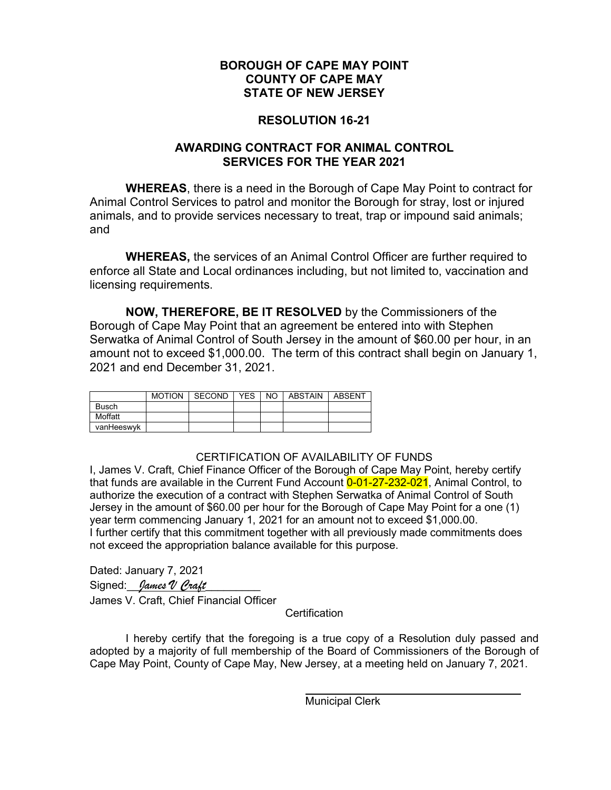# **RESOLUTION 16-21**

# **AWARDING CONTRACT FOR ANIMAL CONTROL SERVICES FOR THE YEAR 2021**

**WHEREAS**, there is a need in the Borough of Cape May Point to contract for Animal Control Services to patrol and monitor the Borough for stray, lost or injured animals, and to provide services necessary to treat, trap or impound said animals; and

**WHEREAS,** the services of an Animal Control Officer are further required to enforce all State and Local ordinances including, but not limited to, vaccination and licensing requirements.

**NOW, THEREFORE, BE IT RESOLVED** by the Commissioners of the Borough of Cape May Point that an agreement be entered into with Stephen Serwatka of Animal Control of South Jersey in the amount of \$60.00 per hour, in an amount not to exceed \$1,000.00. The term of this contract shall begin on January 1, 2021 and end December 31, 2021.

|              | MOTION I SECOND | <b>YES</b> | NO I | ABSTAIN | ABSENT |
|--------------|-----------------|------------|------|---------|--------|
| <b>Busch</b> |                 |            |      |         |        |
| Moffatt      |                 |            |      |         |        |
| vanHeeswyk   |                 |            |      |         |        |

# CERTIFICATION OF AVAILABILITY OF FUNDS

I, James V. Craft, Chief Finance Officer of the Borough of Cape May Point, hereby certify that funds are available in the Current Fund Account 0-01-27-232-021, Animal Control, to authorize the execution of a contract with Stephen Serwatka of Animal Control of South Jersey in the amount of \$60.00 per hour for the Borough of Cape May Point for a one (1) year term commencing January 1, 2021 for an amount not to exceed \$1,000.00. I further certify that this commitment together with all previously made commitments does not exceed the appropriation balance available for this purpose.

Dated: January 7, 2021 Signed: *James V Craft* James V. Craft, Chief Financial Officer

**Certification** 

I hereby certify that the foregoing is a true copy of a Resolution duly passed and adopted by a majority of full membership of the Board of Commissioners of the Borough of Cape May Point, County of Cape May, New Jersey, at a meeting held on January 7, 2021.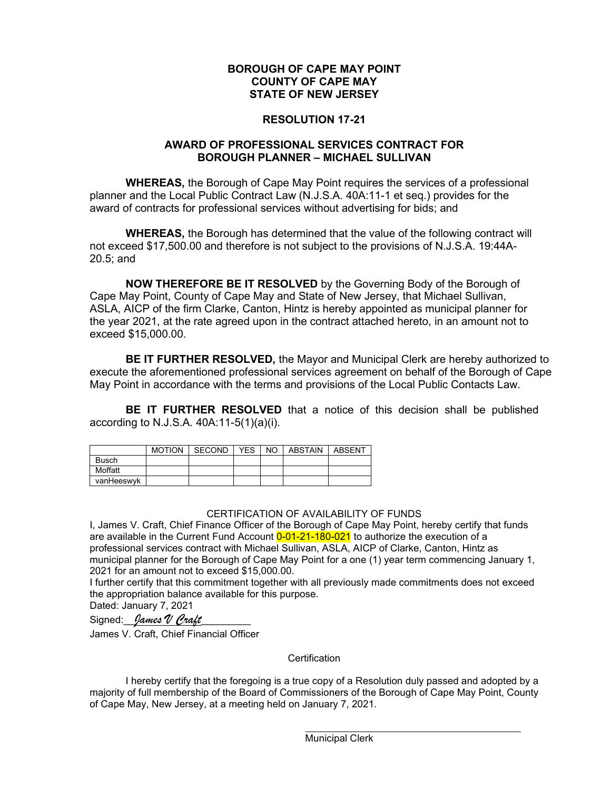#### **RESOLUTION 17-21**

#### **AWARD OF PROFESSIONAL SERVICES CONTRACT FOR BOROUGH PLANNER – MICHAEL SULLIVAN**

**WHEREAS,** the Borough of Cape May Point requires the services of a professional planner and the Local Public Contract Law (N.J.S.A. 40A:11-1 et seq.) provides for the award of contracts for professional services without advertising for bids; and

**WHEREAS,** the Borough has determined that the value of the following contract will not exceed \$17,500.00 and therefore is not subject to the provisions of N.J.S.A. 19:44A-20.5; and

**NOW THEREFORE BE IT RESOLVED** by the Governing Body of the Borough of Cape May Point, County of Cape May and State of New Jersey, that Michael Sullivan, ASLA, AICP of the firm Clarke, Canton, Hintz is hereby appointed as municipal planner for the year 2021, at the rate agreed upon in the contract attached hereto, in an amount not to exceed \$15,000.00.

**BE IT FURTHER RESOLVED,** the Mayor and Municipal Clerk are hereby authorized to execute the aforementioned professional services agreement on behalf of the Borough of Cape May Point in accordance with the terms and provisions of the Local Public Contacts Law.

**BE IT FURTHER RESOLVED** that a notice of this decision shall be published according to N.J.S.A. 40A:11-5(1)(a)(i).

|              | <b>MOTION</b> | l SECOND | YES | NO. | ABSTAIN | ABSENT |
|--------------|---------------|----------|-----|-----|---------|--------|
| <b>Busch</b> |               |          |     |     |         |        |
| Moffatt      |               |          |     |     |         |        |
| vanHeeswyk   |               |          |     |     |         |        |

#### CERTIFICATION OF AVAILABILITY OF FUNDS

I, James V. Craft, Chief Finance Officer of the Borough of Cape May Point, hereby certify that funds are available in the Current Fund Account 0-01-21-180-021 to authorize the execution of a professional services contract with Michael Sullivan, ASLA, AICP of Clarke, Canton, Hintz as municipal planner for the Borough of Cape May Point for a one (1) year term commencing January 1, 2021 for an amount not to exceed \$15,000.00.

I further certify that this commitment together with all previously made commitments does not exceed the appropriation balance available for this purpose. Dated: January 7, 2021

Signed: *James V Craft* 

James V. Craft, Chief Financial Officer

**Certification** 

I hereby certify that the foregoing is a true copy of a Resolution duly passed and adopted by a majority of full membership of the Board of Commissioners of the Borough of Cape May Point, County of Cape May, New Jersey, at a meeting held on January 7, 2021.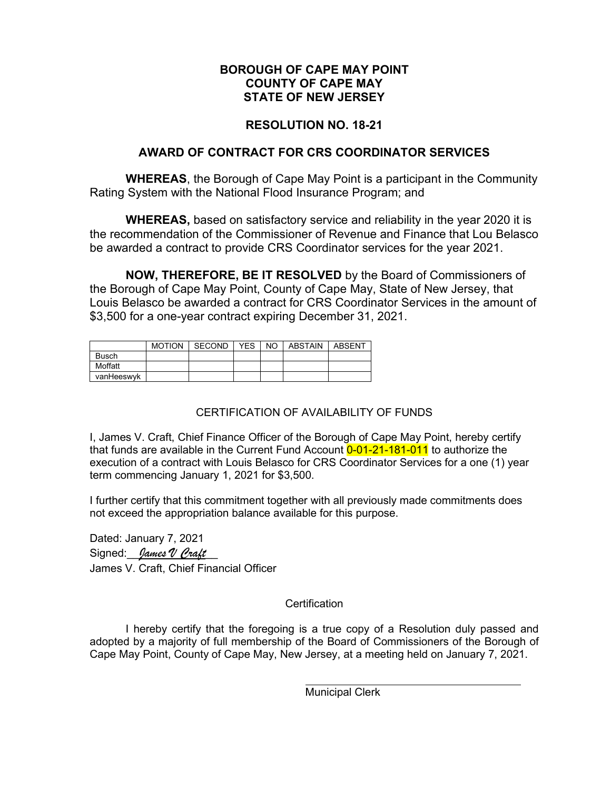# **RESOLUTION NO. 18-21**

# **AWARD OF CONTRACT FOR CRS COORDINATOR SERVICES**

**WHEREAS**, the Borough of Cape May Point is a participant in the Community Rating System with the National Flood Insurance Program; and

**WHEREAS,** based on satisfactory service and reliability in the year 2020 it is the recommendation of the Commissioner of Revenue and Finance that Lou Belasco be awarded a contract to provide CRS Coordinator services for the year 2021.

**NOW, THEREFORE, BE IT RESOLVED** by the Board of Commissioners of the Borough of Cape May Point, County of Cape May, State of New Jersey, that Louis Belasco be awarded a contract for CRS Coordinator Services in the amount of \$3,500 for a one-year contract expiring December 31, 2021.

|              | MOTION I SECOND | <b>YES</b> | NO. | ABSTAIN   ABSENT |  |
|--------------|-----------------|------------|-----|------------------|--|
| <b>Busch</b> |                 |            |     |                  |  |
| Moffatt      |                 |            |     |                  |  |
| vanHeeswyk   |                 |            |     |                  |  |

# CERTIFICATION OF AVAILABILITY OF FUNDS

I, James V. Craft, Chief Finance Officer of the Borough of Cape May Point, hereby certify that funds are available in the Current Fund Account 0-01-21-181-011 to authorize the execution of a contract with Louis Belasco for CRS Coordinator Services for a one (1) year term commencing January 1, 2021 for \$3,500.

I further certify that this commitment together with all previously made commitments does not exceed the appropriation balance available for this purpose.

Dated: January 7, 2021 Signed: *James V Craft* James V. Craft, Chief Financial Officer

# **Certification**

I hereby certify that the foregoing is a true copy of a Resolution duly passed and adopted by a majority of full membership of the Board of Commissioners of the Borough of Cape May Point, County of Cape May, New Jersey, at a meeting held on January 7, 2021.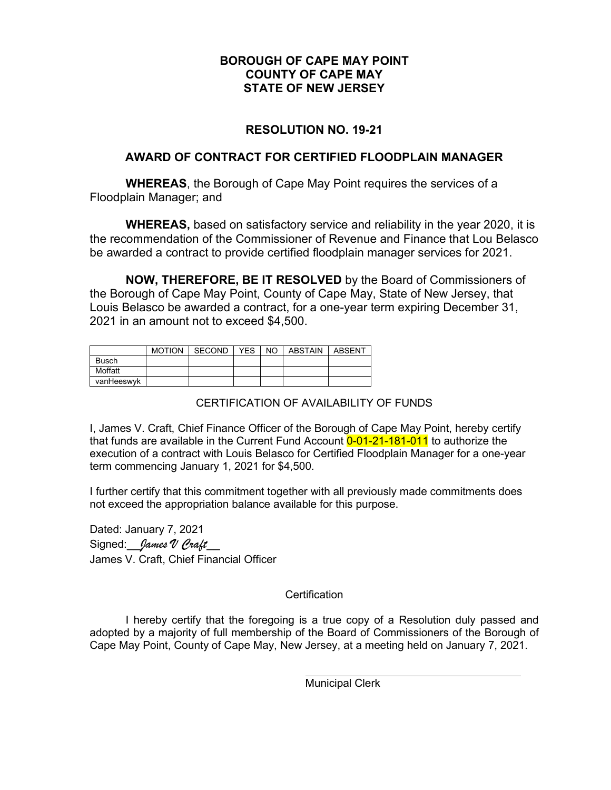# **RESOLUTION NO. 19-21**

## **AWARD OF CONTRACT FOR CERTIFIED FLOODPLAIN MANAGER**

**WHEREAS**, the Borough of Cape May Point requires the services of a Floodplain Manager; and

**WHEREAS,** based on satisfactory service and reliability in the year 2020, it is the recommendation of the Commissioner of Revenue and Finance that Lou Belasco be awarded a contract to provide certified floodplain manager services for 2021.

**NOW, THEREFORE, BE IT RESOLVED** by the Board of Commissioners of the Borough of Cape May Point, County of Cape May, State of New Jersey, that Louis Belasco be awarded a contract, for a one-year term expiring December 31, 2021 in an amount not to exceed \$4,500.

|              | <b>MOTION</b> | SECOND | YES. | NO. | <b>ABSTAIN</b> | ABSENT |
|--------------|---------------|--------|------|-----|----------------|--------|
| <b>Busch</b> |               |        |      |     |                |        |
| Moffatt      |               |        |      |     |                |        |
| vanHeeswyk   |               |        |      |     |                |        |

# CERTIFICATION OF AVAILABILITY OF FUNDS

I, James V. Craft, Chief Finance Officer of the Borough of Cape May Point, hereby certify that funds are available in the Current Fund Account 0-01-21-181-011 to authorize the execution of a contract with Louis Belasco for Certified Floodplain Manager for a one-year term commencing January 1, 2021 for \$4,500.

I further certify that this commitment together with all previously made commitments does not exceed the appropriation balance available for this purpose.

Dated: January 7, 2021 Signed: *James V Craft* James V. Craft, Chief Financial Officer

#### **Certification**

I hereby certify that the foregoing is a true copy of a Resolution duly passed and adopted by a majority of full membership of the Board of Commissioners of the Borough of Cape May Point, County of Cape May, New Jersey, at a meeting held on January 7, 2021.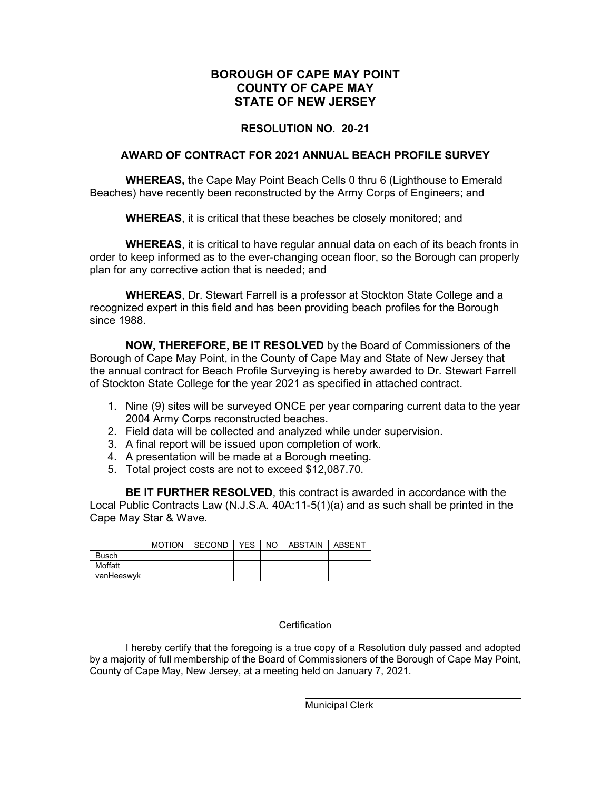#### **RESOLUTION NO. 20-21**

#### **AWARD OF CONTRACT FOR 2021 ANNUAL BEACH PROFILE SURVEY**

**WHEREAS,** the Cape May Point Beach Cells 0 thru 6 (Lighthouse to Emerald Beaches) have recently been reconstructed by the Army Corps of Engineers; and

**WHEREAS**, it is critical that these beaches be closely monitored; and

**WHEREAS**, it is critical to have regular annual data on each of its beach fronts in order to keep informed as to the ever-changing ocean floor, so the Borough can properly plan for any corrective action that is needed; and

**WHEREAS**, Dr. Stewart Farrell is a professor at Stockton State College and a recognized expert in this field and has been providing beach profiles for the Borough since 1988.

**NOW, THEREFORE, BE IT RESOLVED** by the Board of Commissioners of the Borough of Cape May Point, in the County of Cape May and State of New Jersey that the annual contract for Beach Profile Surveying is hereby awarded to Dr. Stewart Farrell of Stockton State College for the year 2021 as specified in attached contract.

- 1. Nine (9) sites will be surveyed ONCE per year comparing current data to the year 2004 Army Corps reconstructed beaches.
- 2. Field data will be collected and analyzed while under supervision.
- 3. A final report will be issued upon completion of work.
- 4. A presentation will be made at a Borough meeting.
- 5. Total project costs are not to exceed \$12,087.70.

**BE IT FURTHER RESOLVED**, this contract is awarded in accordance with the Local Public Contracts Law (N.J.S.A. 40A:11-5(1)(a) and as such shall be printed in the Cape May Star & Wave.

|              | MOTION SECOND |  | YES I NO I ABSTAIN I | ABSENT |
|--------------|---------------|--|----------------------|--------|
| <b>Busch</b> |               |  |                      |        |
| Moffatt      |               |  |                      |        |
| vanHeeswyk   |               |  |                      |        |

#### **Certification**

I hereby certify that the foregoing is a true copy of a Resolution duly passed and adopted by a majority of full membership of the Board of Commissioners of the Borough of Cape May Point, County of Cape May, New Jersey, at a meeting held on January 7, 2021.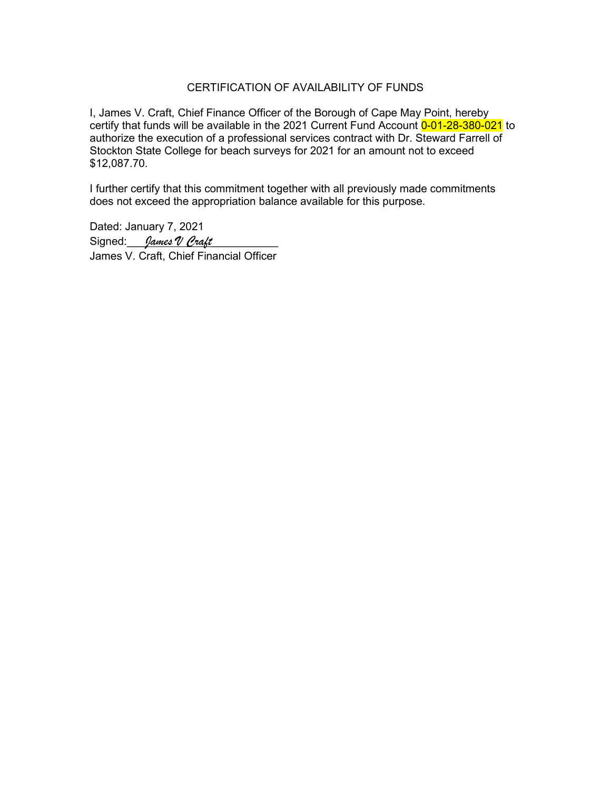#### CERTIFICATION OF AVAILABILITY OF FUNDS

I, James V. Craft, Chief Finance Officer of the Borough of Cape May Point, hereby certify that funds will be available in the 2021 Current Fund Account 0-01-28-380-021 to authorize the execution of a professional services contract with Dr. Steward Farrell of Stockton State College for beach surveys for 2021 for an amount not to exceed \$12,087.70.

I further certify that this commitment together with all previously made commitments does not exceed the appropriation balance available for this purpose.

Dated: January 7, 2021 Signed: *James V Craft* James V. Craft, Chief Financial Officer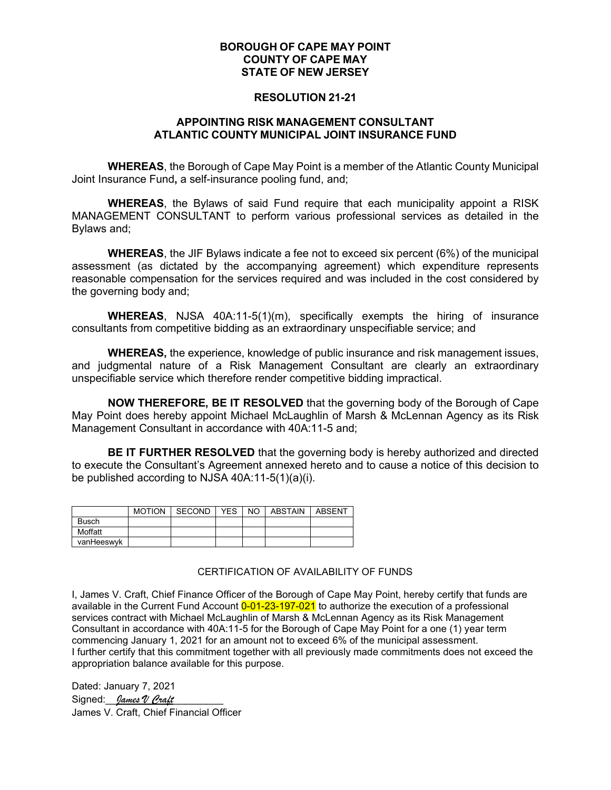#### **RESOLUTION 21-21**

#### **APPOINTING RISK MANAGEMENT CONSULTANT ATLANTIC COUNTY MUNICIPAL JOINT INSURANCE FUND**

**WHEREAS**, the Borough of Cape May Point is a member of the Atlantic County Municipal Joint Insurance Fund**,** a self-insurance pooling fund, and;

**WHEREAS**, the Bylaws of said Fund require that each municipality appoint a RISK MANAGEMENT CONSULTANT to perform various professional services as detailed in the Bylaws and;

**WHEREAS**, the JIF Bylaws indicate a fee not to exceed six percent (6%) of the municipal assessment (as dictated by the accompanying agreement) which expenditure represents reasonable compensation for the services required and was included in the cost considered by the governing body and;

**WHEREAS**, NJSA 40A:11-5(1)(m), specifically exempts the hiring of insurance consultants from competitive bidding as an extraordinary unspecifiable service; and

**WHEREAS,** the experience, knowledge of public insurance and risk management issues, and judgmental nature of a Risk Management Consultant are clearly an extraordinary unspecifiable service which therefore render competitive bidding impractical.

**NOW THEREFORE, BE IT RESOLVED** that the governing body of the Borough of Cape May Point does hereby appoint Michael McLaughlin of Marsh & McLennan Agency as its Risk Management Consultant in accordance with 40A:11-5 and;

**BE IT FURTHER RESOLVED** that the governing body is hereby authorized and directed to execute the Consultant's Agreement annexed hereto and to cause a notice of this decision to be published according to NJSA 40A:11-5(1)(a)(i).

|              | <b>MOTION</b> | SECOND | YES. | NO. | ABSTAIN | ABSENT |
|--------------|---------------|--------|------|-----|---------|--------|
| <b>Busch</b> |               |        |      |     |         |        |
| Moffatt      |               |        |      |     |         |        |
| vanHeeswyk   |               |        |      |     |         |        |

#### CERTIFICATION OF AVAILABILITY OF FUNDS

I, James V. Craft, Chief Finance Officer of the Borough of Cape May Point, hereby certify that funds are available in the Current Fund Account 0-01-23-197-021 to authorize the execution of a professional services contract with Michael McLaughlin of Marsh & McLennan Agency as its Risk Management Consultant in accordance with 40A:11-5 for the Borough of Cape May Point for a one (1) year term commencing January 1, 2021 for an amount not to exceed 6% of the municipal assessment. I further certify that this commitment together with all previously made commitments does not exceed the appropriation balance available for this purpose.

Dated: January 7, 2021 Signed: *James V Craft* James V. Craft, Chief Financial Officer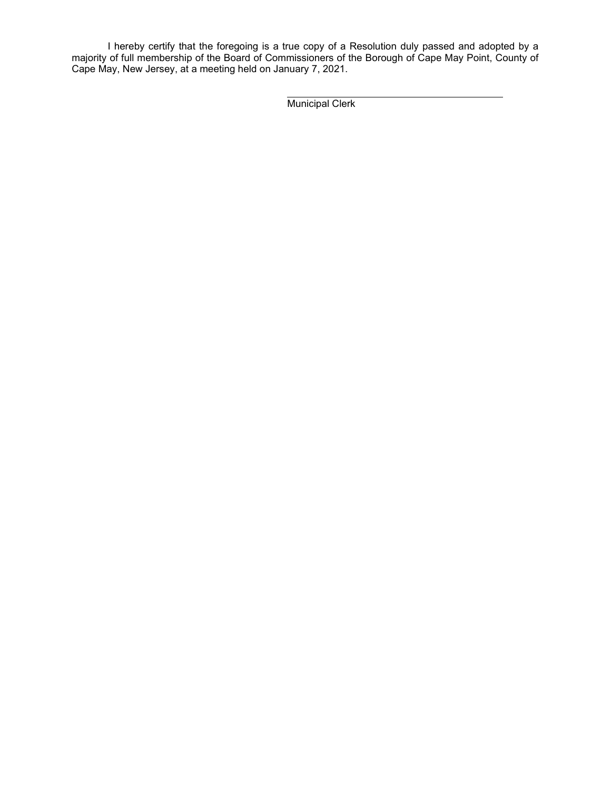I hereby certify that the foregoing is a true copy of a Resolution duly passed and adopted by a majority of full membership of the Board of Commissioners of the Borough of Cape May Point, County of Cape May, New Jersey, at a meeting held on January 7, 2021.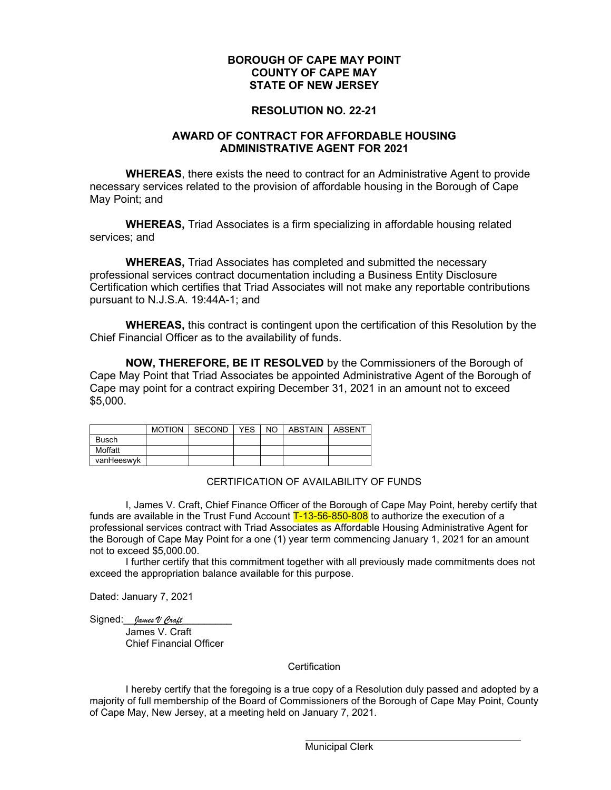#### **RESOLUTION NO. 22-21**

#### **AWARD OF CONTRACT FOR AFFORDABLE HOUSING ADMINISTRATIVE AGENT FOR 2021**

**WHEREAS**, there exists the need to contract for an Administrative Agent to provide necessary services related to the provision of affordable housing in the Borough of Cape May Point; and

**WHEREAS,** Triad Associates is a firm specializing in affordable housing related services; and

**WHEREAS,** Triad Associates has completed and submitted the necessary professional services contract documentation including a Business Entity Disclosure Certification which certifies that Triad Associates will not make any reportable contributions pursuant to N.J.S.A. 19:44A-1; and

**WHEREAS,** this contract is contingent upon the certification of this Resolution by the Chief Financial Officer as to the availability of funds.

**NOW, THEREFORE, BE IT RESOLVED** by the Commissioners of the Borough of Cape May Point that Triad Associates be appointed Administrative Agent of the Borough of Cape may point for a contract expiring December 31, 2021 in an amount not to exceed \$5,000.

|              | MOTION SECOND | <b>YES</b> | NO ABSTAIN | ABSENT |
|--------------|---------------|------------|------------|--------|
| <b>Busch</b> |               |            |            |        |
| Moffatt      |               |            |            |        |
| vanHeeswyk   |               |            |            |        |

#### CERTIFICATION OF AVAILABILITY OF FUNDS

I, James V. Craft, Chief Finance Officer of the Borough of Cape May Point, hereby certify that funds are available in the Trust Fund Account T-13-56-850-808 to authorize the execution of a professional services contract with Triad Associates as Affordable Housing Administrative Agent for the Borough of Cape May Point for a one (1) year term commencing January 1, 2021 for an amount not to exceed \$5,000.00.

I further certify that this commitment together with all previously made commitments does not exceed the appropriation balance available for this purpose.

Dated: January 7, 2021

Signed: *James V Craft* James V. Craft Chief Financial Officer

#### **Certification**

I hereby certify that the foregoing is a true copy of a Resolution duly passed and adopted by a majority of full membership of the Board of Commissioners of the Borough of Cape May Point, County of Cape May, New Jersey, at a meeting held on January 7, 2021.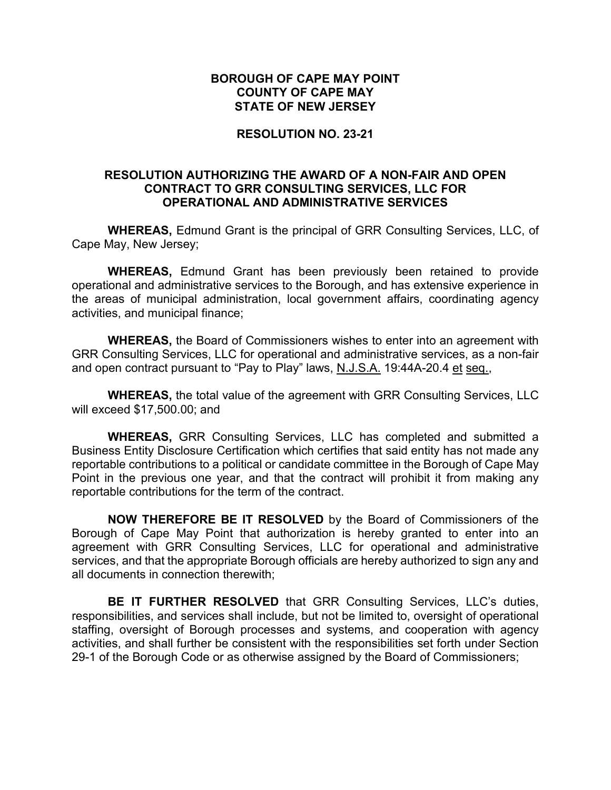## **RESOLUTION NO. 23-21**

## **RESOLUTION AUTHORIZING THE AWARD OF A NON-FAIR AND OPEN CONTRACT TO GRR CONSULTING SERVICES, LLC FOR OPERATIONAL AND ADMINISTRATIVE SERVICES**

**WHEREAS,** Edmund Grant is the principal of GRR Consulting Services, LLC, of Cape May, New Jersey;

**WHEREAS,** Edmund Grant has been previously been retained to provide operational and administrative services to the Borough, and has extensive experience in the areas of municipal administration, local government affairs, coordinating agency activities, and municipal finance;

**WHEREAS,** the Board of Commissioners wishes to enter into an agreement with GRR Consulting Services, LLC for operational and administrative services, as a non-fair and open contract pursuant to "Pay to Play" laws, N.J.S.A. 19:44A-20.4 et seq.,

**WHEREAS,** the total value of the agreement with GRR Consulting Services, LLC will exceed \$17,500.00; and

**WHEREAS,** GRR Consulting Services, LLC has completed and submitted a Business Entity Disclosure Certification which certifies that said entity has not made any reportable contributions to a political or candidate committee in the Borough of Cape May Point in the previous one year, and that the contract will prohibit it from making any reportable contributions for the term of the contract.

**NOW THEREFORE BE IT RESOLVED** by the Board of Commissioners of the Borough of Cape May Point that authorization is hereby granted to enter into an agreement with GRR Consulting Services, LLC for operational and administrative services, and that the appropriate Borough officials are hereby authorized to sign any and all documents in connection therewith;

**BE IT FURTHER RESOLVED** that GRR Consulting Services, LLC's duties, responsibilities, and services shall include, but not be limited to, oversight of operational staffing, oversight of Borough processes and systems, and cooperation with agency activities, and shall further be consistent with the responsibilities set forth under Section 29-1 of the Borough Code or as otherwise assigned by the Board of Commissioners;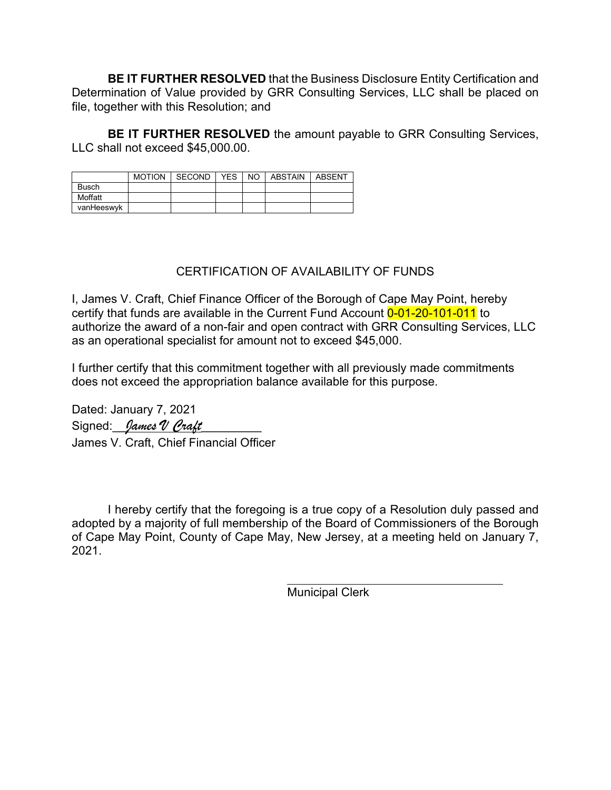**BE IT FURTHER RESOLVED** that the Business Disclosure Entity Certification and Determination of Value provided by GRR Consulting Services, LLC shall be placed on file, together with this Resolution; and

**BE IT FURTHER RESOLVED** the amount payable to GRR Consulting Services, LLC shall not exceed \$45,000.00.

|              | <b>MOTION</b> | SECOND | <b>YES</b> | NO I | ABSTAIN | ABSENT |
|--------------|---------------|--------|------------|------|---------|--------|
| <b>Busch</b> |               |        |            |      |         |        |
| Moffatt      |               |        |            |      |         |        |
| vanHeeswyk   |               |        |            |      |         |        |

# CERTIFICATION OF AVAILABILITY OF FUNDS

I, James V. Craft, Chief Finance Officer of the Borough of Cape May Point, hereby certify that funds are available in the Current Fund Account 0-01-20-101-011 to authorize the award of a non-fair and open contract with GRR Consulting Services, LLC as an operational specialist for amount not to exceed \$45,000.

I further certify that this commitment together with all previously made commitments does not exceed the appropriation balance available for this purpose.

Dated: January 7, 2021 Signed: *James V Craft* James V. Craft, Chief Financial Officer

I hereby certify that the foregoing is a true copy of a Resolution duly passed and adopted by a majority of full membership of the Board of Commissioners of the Borough of Cape May Point, County of Cape May, New Jersey, at a meeting held on January 7, 2021.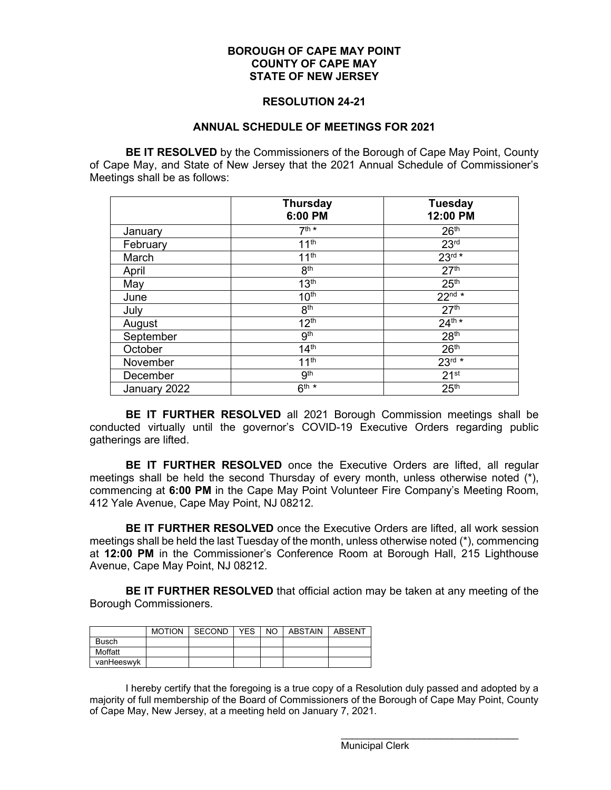#### **RESOLUTION 24-21**

#### **ANNUAL SCHEDULE OF MEETINGS FOR 2021**

**BE IT RESOLVED** by the Commissioners of the Borough of Cape May Point, County of Cape May, and State of New Jersey that the 2021 Annual Schedule of Commissioner's Meetings shall be as follows:

|              | <b>Thursday</b><br>6:00 PM | <b>Tuesday</b><br>12:00 PM |
|--------------|----------------------------|----------------------------|
| January      | $7th$ *                    | 26 <sup>th</sup>           |
| February     | 11 <sup>th</sup>           | 23 <sup>rd</sup>           |
| March        | 11 <sup>th</sup>           | $23rd *$                   |
| April        | 8 <sup>th</sup>            | 27 <sup>th</sup>           |
| May          | 13 <sup>th</sup>           | 25 <sup>th</sup>           |
| June         | 10 <sup>th</sup>           | $22^{nd*}$                 |
| July         | 8 <sup>th</sup>            | 27 <sup>th</sup>           |
| August       | 12 <sup>th</sup>           | $24^{th*}$                 |
| September    | 9 <sup>th</sup>            | 28 <sup>th</sup>           |
| October      | 14 <sup>th</sup>           | 26 <sup>th</sup>           |
| November     | 11 <sup>th</sup>           | $23^{rd} *$                |
| December     | 9 <sup>th</sup>            | 21 <sup>st</sup>           |
| January 2022 | $6^{th *}$                 | 25 <sup>th</sup>           |

**BE IT FURTHER RESOLVED** all 2021 Borough Commission meetings shall be conducted virtually until the governor's COVID-19 Executive Orders regarding public gatherings are lifted.

**BE IT FURTHER RESOLVED** once the Executive Orders are lifted, all regular meetings shall be held the second Thursday of every month, unless otherwise noted (\*), commencing at **6:00 PM** in the Cape May Point Volunteer Fire Company's Meeting Room, 412 Yale Avenue, Cape May Point, NJ 08212.

**BE IT FURTHER RESOLVED** once the Executive Orders are lifted, all work session meetings shall be held the last Tuesday of the month, unless otherwise noted (\*), commencing at **12:00 PM** in the Commissioner's Conference Room at Borough Hall, 215 Lighthouse Avenue, Cape May Point, NJ 08212.

**BE IT FURTHER RESOLVED** that official action may be taken at any meeting of the Borough Commissioners.

|              | <b>MOTION</b> | <b>SECOND</b> | YES. | NO. | <b>ABSTAIN</b> | <b>ABSENT</b> |
|--------------|---------------|---------------|------|-----|----------------|---------------|
| <b>Busch</b> |               |               |      |     |                |               |
| Moffatt      |               |               |      |     |                |               |
| vanHeeswyk   |               |               |      |     |                |               |

I hereby certify that the foregoing is a true copy of a Resolution duly passed and adopted by a majority of full membership of the Board of Commissioners of the Borough of Cape May Point, County of Cape May, New Jersey, at a meeting held on January 7, 2021.

Municipal Clerk

\_\_\_\_\_\_\_\_\_\_\_\_\_\_\_\_\_\_\_\_\_\_\_\_\_\_\_\_\_\_\_\_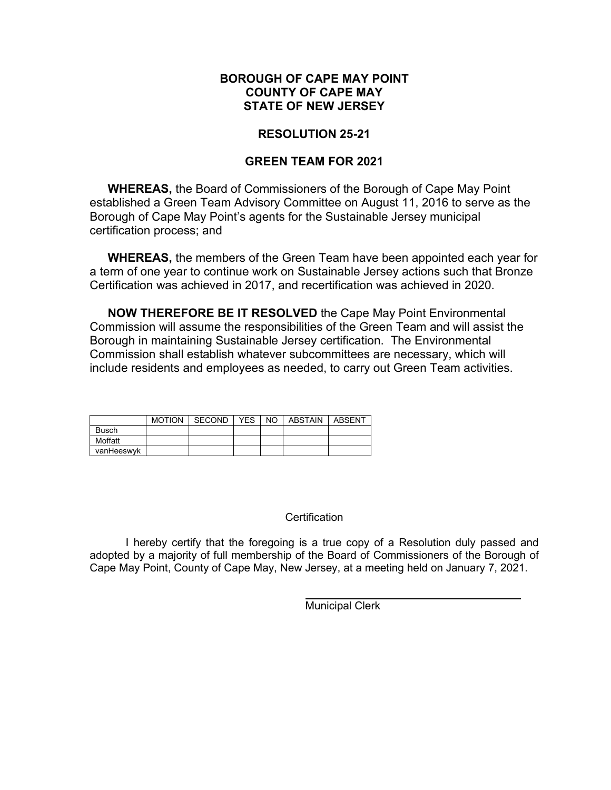# **RESOLUTION 25-21**

# **GREEN TEAM FOR 2021**

**WHEREAS,** the Board of Commissioners of the Borough of Cape May Point established a Green Team Advisory Committee on August 11, 2016 to serve as the Borough of Cape May Point's agents for the Sustainable Jersey municipal certification process; and

**WHEREAS,** the members of the Green Team have been appointed each year for a term of one year to continue work on Sustainable Jersey actions such that Bronze Certification was achieved in 2017, and recertification was achieved in 2020.

**NOW THEREFORE BE IT RESOLVED** the Cape May Point Environmental Commission will assume the responsibilities of the Green Team and will assist the Borough in maintaining Sustainable Jersey certification. The Environmental Commission shall establish whatever subcommittees are necessary, which will include residents and employees as needed, to carry out Green Team activities.

|              | <b>MOTION</b> | SECOND | <b>YES</b> | NO I | ABSTAIN | ABSENT |
|--------------|---------------|--------|------------|------|---------|--------|
| <b>Busch</b> |               |        |            |      |         |        |
| Moffatt      |               |        |            |      |         |        |
| vanHeeswyk   |               |        |            |      |         |        |

#### **Certification**

I hereby certify that the foregoing is a true copy of a Resolution duly passed and adopted by a majority of full membership of the Board of Commissioners of the Borough of Cape May Point, County of Cape May, New Jersey, at a meeting held on January 7, 2021.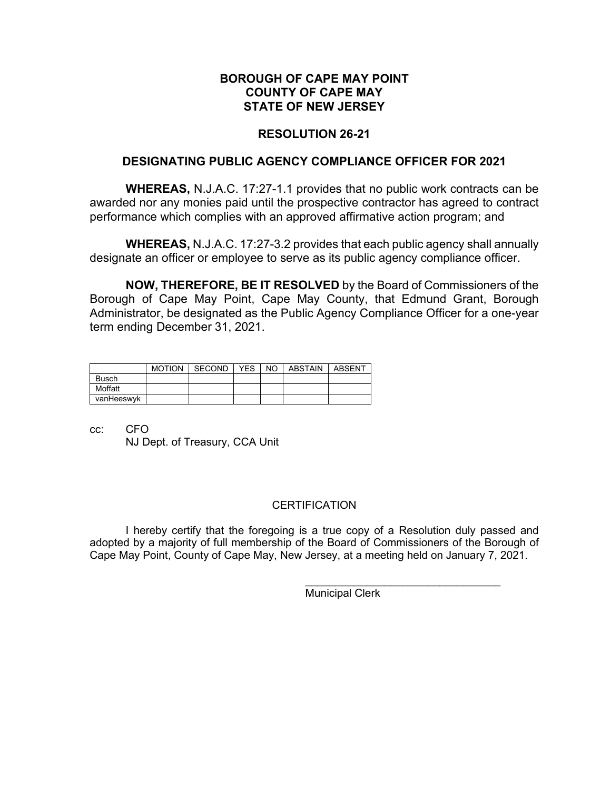# **RESOLUTION 26-21**

## **DESIGNATING PUBLIC AGENCY COMPLIANCE OFFICER FOR 2021**

**WHEREAS,** N.J.A.C. 17:27-1.1 provides that no public work contracts can be awarded nor any monies paid until the prospective contractor has agreed to contract performance which complies with an approved affirmative action program; and

**WHEREAS,** N.J.A.C. 17:27-3.2 provides that each public agency shall annually designate an officer or employee to serve as its public agency compliance officer.

**NOW, THEREFORE, BE IT RESOLVED** by the Board of Commissioners of the Borough of Cape May Point, Cape May County, that Edmund Grant, Borough Administrator, be designated as the Public Agency Compliance Officer for a one-year term ending December 31, 2021.

|              | <b>MOTION</b> | SECOND | <b>YES</b> | NO LABSTAIN | ABSENT |
|--------------|---------------|--------|------------|-------------|--------|
| <b>Busch</b> |               |        |            |             |        |
| Moffatt      |               |        |            |             |        |
| vanHeeswyk   |               |        |            |             |        |

cc: CFO NJ Dept. of Treasury, CCA Unit

#### **CERTIFICATION**

I hereby certify that the foregoing is a true copy of a Resolution duly passed and adopted by a majority of full membership of the Board of Commissioners of the Borough of Cape May Point, County of Cape May, New Jersey, at a meeting held on January 7, 2021.

Municipal Clerk

 $\frac{1}{2}$  , and the set of the set of the set of the set of the set of the set of the set of the set of the set of the set of the set of the set of the set of the set of the set of the set of the set of the set of the set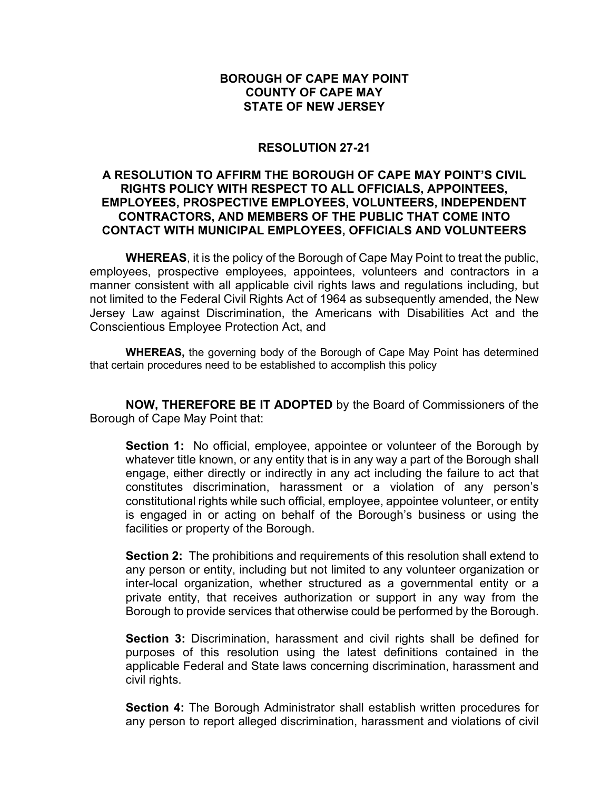## **RESOLUTION 27-21**

## **A RESOLUTION TO AFFIRM THE BOROUGH OF CAPE MAY POINT'S CIVIL RIGHTS POLICY WITH RESPECT TO ALL OFFICIALS, APPOINTEES, EMPLOYEES, PROSPECTIVE EMPLOYEES, VOLUNTEERS, INDEPENDENT CONTRACTORS, AND MEMBERS OF THE PUBLIC THAT COME INTO CONTACT WITH MUNICIPAL EMPLOYEES, OFFICIALS AND VOLUNTEERS**

**WHEREAS**, it is the policy of the Borough of Cape May Point to treat the public, employees, prospective employees, appointees, volunteers and contractors in a manner consistent with all applicable civil rights laws and regulations including, but not limited to the Federal Civil Rights Act of 1964 as subsequently amended, the New Jersey Law against Discrimination, the Americans with Disabilities Act and the Conscientious Employee Protection Act, and

**WHEREAS,** the governing body of the Borough of Cape May Point has determined that certain procedures need to be established to accomplish this policy

**NOW, THEREFORE BE IT ADOPTED** by the Board of Commissioners of the Borough of Cape May Point that:

**Section 1:** No official, employee, appointee or volunteer of the Borough by whatever title known, or any entity that is in any way a part of the Borough shall engage, either directly or indirectly in any act including the failure to act that constitutes discrimination, harassment or a violation of any person's constitutional rights while such official, employee, appointee volunteer, or entity is engaged in or acting on behalf of the Borough's business or using the facilities or property of the Borough.

**Section 2:** The prohibitions and requirements of this resolution shall extend to any person or entity, including but not limited to any volunteer organization or inter-local organization, whether structured as a governmental entity or a private entity, that receives authorization or support in any way from the Borough to provide services that otherwise could be performed by the Borough.

**Section 3:** Discrimination, harassment and civil rights shall be defined for purposes of this resolution using the latest definitions contained in the applicable Federal and State laws concerning discrimination, harassment and civil rights.

**Section 4:** The Borough Administrator shall establish written procedures for any person to report alleged discrimination, harassment and violations of civil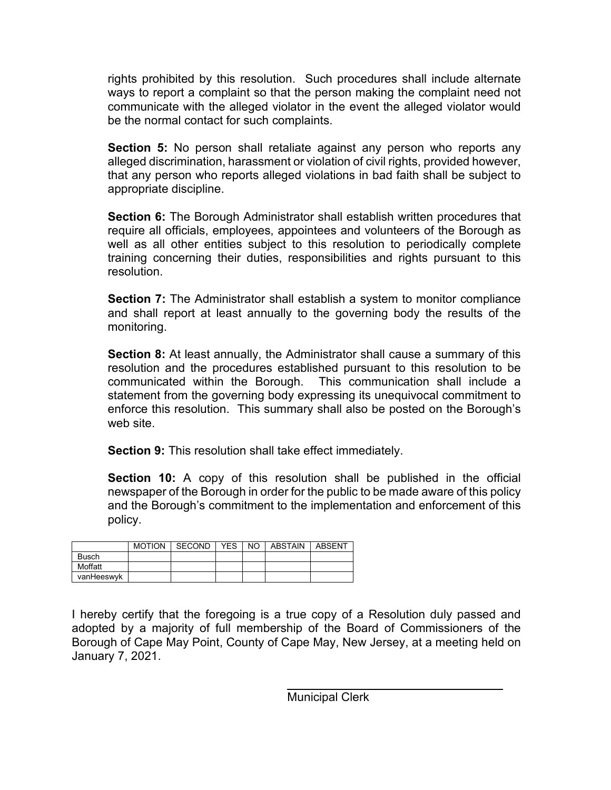rights prohibited by this resolution. Such procedures shall include alternate ways to report a complaint so that the person making the complaint need not communicate with the alleged violator in the event the alleged violator would be the normal contact for such complaints.

**Section 5:** No person shall retaliate against any person who reports any alleged discrimination, harassment or violation of civil rights, provided however, that any person who reports alleged violations in bad faith shall be subject to appropriate discipline.

**Section 6:** The Borough Administrator shall establish written procedures that require all officials, employees, appointees and volunteers of the Borough as well as all other entities subject to this resolution to periodically complete training concerning their duties, responsibilities and rights pursuant to this resolution.

**Section 7:** The Administrator shall establish a system to monitor compliance and shall report at least annually to the governing body the results of the monitoring.

**Section 8:** At least annually, the Administrator shall cause a summary of this resolution and the procedures established pursuant to this resolution to be communicated within the Borough. This communication shall include a statement from the governing body expressing its unequivocal commitment to enforce this resolution. This summary shall also be posted on the Borough's web site.

**Section 9:** This resolution shall take effect immediately.

**Section 10:** A copy of this resolution shall be published in the official newspaper of the Borough in order for the public to be made aware of this policy and the Borough's commitment to the implementation and enforcement of this policy.

|              | <b>MOTION</b> | SECOND | YES. | NO I | ABSTAIN | ABSENT |
|--------------|---------------|--------|------|------|---------|--------|
| <b>Busch</b> |               |        |      |      |         |        |
| Moffatt      |               |        |      |      |         |        |
| vanHeeswyk   |               |        |      |      |         |        |

I hereby certify that the foregoing is a true copy of a Resolution duly passed and adopted by a majority of full membership of the Board of Commissioners of the Borough of Cape May Point, County of Cape May, New Jersey, at a meeting held on January 7, 2021.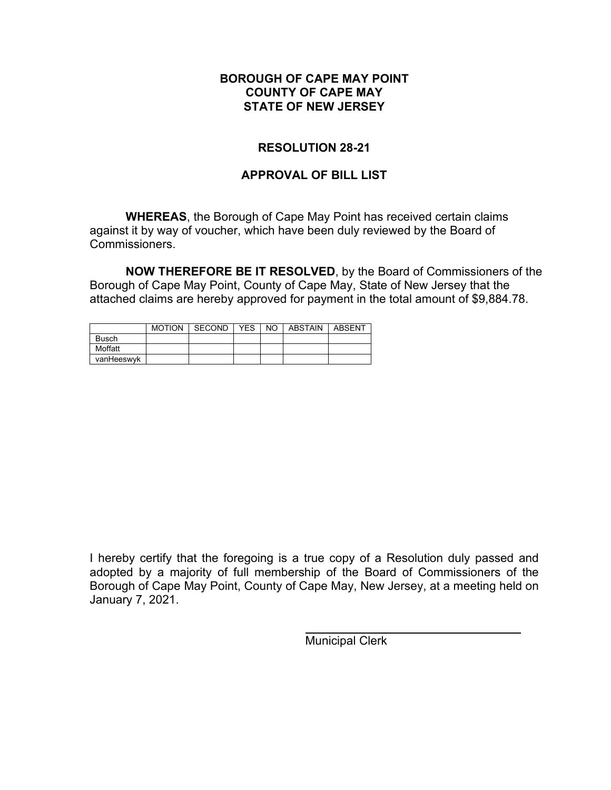# **RESOLUTION 28-21**

# **APPROVAL OF BILL LIST**

**WHEREAS**, the Borough of Cape May Point has received certain claims against it by way of voucher, which have been duly reviewed by the Board of Commissioners.

**NOW THEREFORE BE IT RESOLVED**, by the Board of Commissioners of the Borough of Cape May Point, County of Cape May, State of New Jersey that the attached claims are hereby approved for payment in the total amount of \$9,884.78.

|              | <b>MOTION</b> | SECOND | <b>YES</b> | NO. | ABSTAIN | ABSENT |
|--------------|---------------|--------|------------|-----|---------|--------|
| <b>Busch</b> |               |        |            |     |         |        |
| Moffatt      |               |        |            |     |         |        |
| vanHeeswyk   |               |        |            |     |         |        |

I hereby certify that the foregoing is a true copy of a Resolution duly passed and adopted by a majority of full membership of the Board of Commissioners of the Borough of Cape May Point, County of Cape May, New Jersey, at a meeting held on January 7, 2021.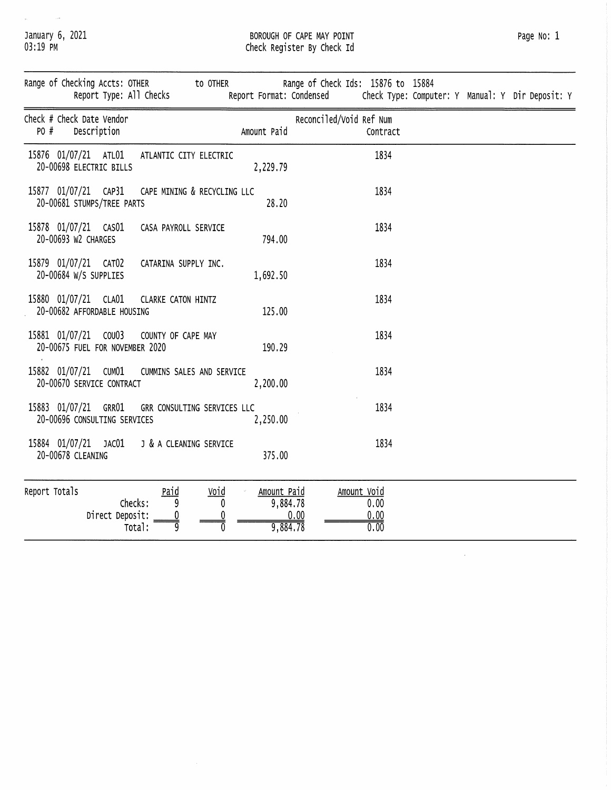January 6, 2021<br>03:19 PM

 $\mu$  ,  $\mu$  ,  $\mu$  ,  $\mu$ 

# BOROUGH OF CAPE MAY POINT<br>Check Register By Check Id

 $\hat{\boldsymbol{\beta}}$ 

|               | Range of Checking Accts: OTHER                          |                 | Report Type: All Checks                         | to OTHER                    |                                     | Range of Check Ids: 15876 to 15884<br>Report Format: Condensed | Check Type: Computer: Y Manual: Y Dir Deposit: Y |
|---------------|---------------------------------------------------------|-----------------|-------------------------------------------------|-----------------------------|-------------------------------------|----------------------------------------------------------------|--------------------------------------------------|
| PO #          | Check # Check Date Vendor<br>Description                |                 |                                                 |                             | Amount Paid                         | Reconciled/Void Ref Num<br>Contract                            |                                                  |
|               | 15876 01/07/21 ATL01<br>20-00698 ELECTRIC BILLS         |                 | ATLANTIC CITY ELECTRIC                          |                             | 2,229.79                            | 1834                                                           |                                                  |
|               | 15877 01/07/21 CAP31<br>20-00681 STUMPS/TREE PARTS      |                 |                                                 | CAPE MINING & RECYCLING LLC | 28.20                               | 1834                                                           |                                                  |
|               | 15878 01/07/21 CAS01<br>20-00693 W2 CHARGES             |                 | CASA PAYROLL SERVICE                            |                             | 794.00                              | 1834                                                           |                                                  |
|               | 15879 01/07/21 CAT02<br>20-00684 W/S SUPPLIES           |                 | CATARINA SUPPLY INC.                            |                             | 1,692.50                            | 1834                                                           |                                                  |
|               | 15880 01/07/21 CLA01<br>20-00682 AFFORDABLE HOUSING     |                 | CLARKE CATON HINTZ                              |                             | 125.00                              | 1834                                                           |                                                  |
|               | 15881 01/07/21 COU03<br>20-00675 FUEL FOR NOVEMBER 2020 |                 | COUNTY OF CAPE MAY                              |                             | 190.29                              | 1834                                                           |                                                  |
|               | 15882 01/07/21 CUM01<br>20-00670 SERVICE CONTRACT       |                 |                                                 | CUMMINS SALES AND SERVICE   | 2,200.00                            | 1834                                                           |                                                  |
|               | 15883 01/07/21 GRR01<br>20-00696 CONSULTING SERVICES    |                 |                                                 | GRR CONSULTING SERVICES LLC | 2,250.00                            | 1834                                                           |                                                  |
|               | 15884 01/07/21 JAC01<br>20-00678 CLEANING               |                 |                                                 | J & A CLEANING SERVICE      | 375.00                              | 1834                                                           |                                                  |
| Report Totals |                                                         | Direct Deposit: | Paid<br>Checks:<br>9<br><u>0</u><br>g<br>Total: | Void<br>0                   | Amount Paid<br>9,884.78<br>9,884.78 | Amount Void<br>0.00<br>0.00<br>0.00<br>0.00                    |                                                  |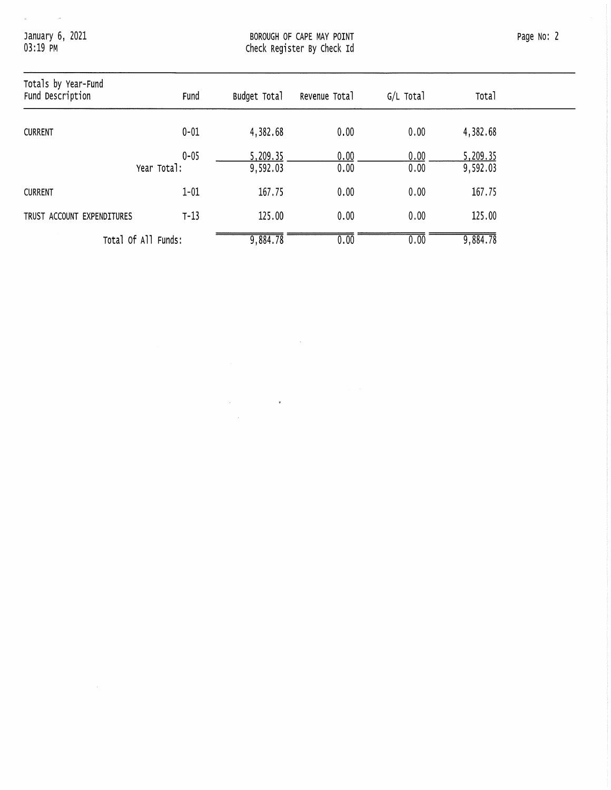January 6, 2021<br>03:19 PM

 $\label{eq:1} \frac{1}{2} \left( \frac{1}{2} \right) \left( \frac{1}{2} \right) \left( \frac{1}{2} \right) \left( \frac{1}{2} \right) \left( \frac{1}{2} \right) \left( \frac{1}{2} \right)$ 

| Totals by Year-Fund<br>Fund Description | Fund                    | Budget Total         | Revenue Total | G/L Total    | Total                |
|-----------------------------------------|-------------------------|----------------------|---------------|--------------|----------------------|
| <b>CURRENT</b>                          | $0 - 01$                | 4,382.68             | 0.00          | 0.00         | 4,382.68             |
|                                         | $0 - 05$<br>Year Total: | 5,209.35<br>9,592.03 | 0.00<br>0.00  | 0.00<br>0.00 | 5,209.35<br>9,592.03 |
| <b>CURRENT</b>                          | $1 - 01$                | 167.75               | 0.00          | 0.00         | 167.75               |
| TRUST ACCOUNT EXPENDITURES              | $T-13$                  | 125.00               | 0.00          | 0.00         | 125.00               |
|                                         | Total Of All Funds:     | 9,884.78             | 0.00          | 0.00         | 9,884.78             |

 $\mathcal{A}^{\mathcal{A}}$ 

 $\label{eq:2.1} \mathcal{L}_{\mathcal{A}}(\mathcal{A}) = \mathcal{L}_{\mathcal{A}}(\mathcal{A}) = \mathcal{L}_{\mathcal{A}}(\mathcal{A}) = \mathcal{L}_{\mathcal{A}}(\mathcal{A})$ 

 $\mathcal{L}_{\mathrm{eff}}$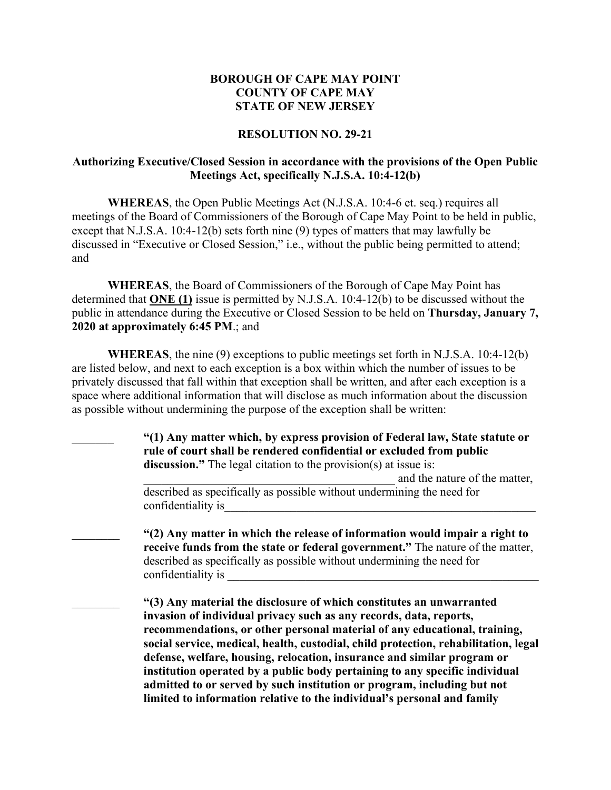#### **RESOLUTION NO. 29-21**

#### **Authorizing Executive/Closed Session in accordance with the provisions of the Open Public Meetings Act, specifically N.J.S.A. 10:4-12(b)**

**WHEREAS**, the Open Public Meetings Act (N.J.S.A. 10:4-6 et. seq.) requires all meetings of the Board of Commissioners of the Borough of Cape May Point to be held in public, except that N.J.S.A. 10:4-12(b) sets forth nine (9) types of matters that may lawfully be discussed in "Executive or Closed Session," i.e., without the public being permitted to attend; and

**WHEREAS**, the Board of Commissioners of the Borough of Cape May Point has determined that **ONE (1)** issue is permitted by N.J.S.A. 10:4-12(b) to be discussed without the public in attendance during the Executive or Closed Session to be held on **Thursday, January 7, 2020 at approximately 6:45 PM**.; and

**WHEREAS**, the nine (9) exceptions to public meetings set forth in N.J.S.A. 10:4-12(b) are listed below, and next to each exception is a box within which the number of issues to be privately discussed that fall within that exception shall be written, and after each exception is a space where additional information that will disclose as much information about the discussion as possible without undermining the purpose of the exception shall be written:

> \_\_\_\_\_\_\_ **"(1) Any matter which, by express provision of Federal law, State statute or rule of court shall be rendered confidential or excluded from public discussion."** The legal citation to the provision(s) at issue is: and the nature of the matter, described as specifically as possible without undermining the need for confidentiality is

\_\_\_\_\_\_\_\_ **"(2) Any matter in which the release of information would impair a right to receive funds from the state or federal government."** The nature of the matter, described as specifically as possible without undermining the need for confidentiality is

\_\_\_\_\_\_\_\_ **"(3) Any material the disclosure of which constitutes an unwarranted invasion of individual privacy such as any records, data, reports, recommendations, or other personal material of any educational, training, social service, medical, health, custodial, child protection, rehabilitation, legal defense, welfare, housing, relocation, insurance and similar program or institution operated by a public body pertaining to any specific individual admitted to or served by such institution or program, including but not limited to information relative to the individual's personal and family**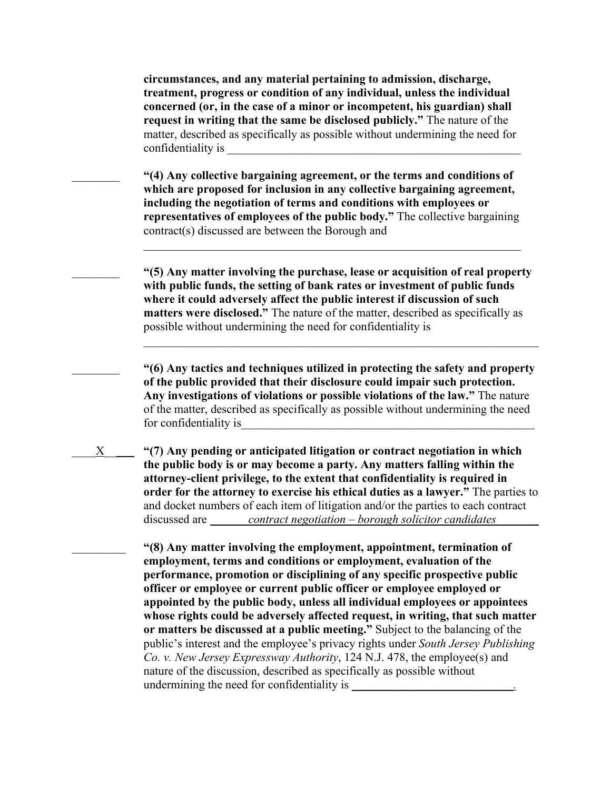**circumstances, and any material pertaining to admission, discharge, treatment, progress or condition of any individual, unless the individual concerned (or, in the case of a minor or incompetent, his guardian) shall request in writing that the same be disclosed publicly."** The nature of the matter, described as specifically as possible without undermining the need for confidentiality is

\_\_\_\_\_\_\_\_ **"(4) Any collective bargaining agreement, or the terms and conditions of which are proposed for inclusion in any collective bargaining agreement, including the negotiation of terms and conditions with employees or representatives of employees of the public body."** The collective bargaining contract(s) discussed are between the Borough and

\_\_\_\_\_\_\_\_ **"(5) Any matter involving the purchase, lease or acquisition of real property with public funds, the setting of bank rates or investment of public funds where it could adversely affect the public interest if discussion of such matters were disclosed."** The nature of the matter, described as specifically as possible without undermining the need for confidentiality is

 $\mathcal{L}_\text{G}$  , and the contribution of the contribution of the contribution of the contribution of the contribution of the contribution of the contribution of the contribution of the contribution of the contribution of t

\_\_\_\_\_\_\_\_ **"(6) Any tactics and techniques utilized in protecting the safety and property of the public provided that their disclosure could impair such protection. Any investigations of violations or possible violations of the law."** The nature of the matter, described as specifically as possible without undermining the need for confidentiality is

\_\_\_\_X\_\_\_\_\_ **"(7) Any pending or anticipated litigation or contract negotiation in which the public body is or may become a party. Any matters falling within the attorney-client privilege, to the extent that confidentiality is required in order for the attorney to exercise his ethical duties as a lawyer."** The parties to and docket numbers of each item of litigation and/or the parties to each contract discussed are *contract negotiation – borough solicitor candidates* 

> \_\_\_\_\_\_\_\_\_ **"(8) Any matter involving the employment, appointment, termination of employment, terms and conditions or employment, evaluation of the performance, promotion or disciplining of any specific prospective public officer or employee or current public officer or employee employed or appointed by the public body, unless all individual employees or appointees whose rights could be adversely affected request, in writing, that such matter or matters be discussed at a public meeting."** Subject to the balancing of the public's interest and the employee's privacy rights under *South Jersey Publishing Co. v. New Jersey Expressway Authority*, 124 N.J. 478, the employee(s) and nature of the discussion, described as specifically as possible without undermining the need for confidentiality is